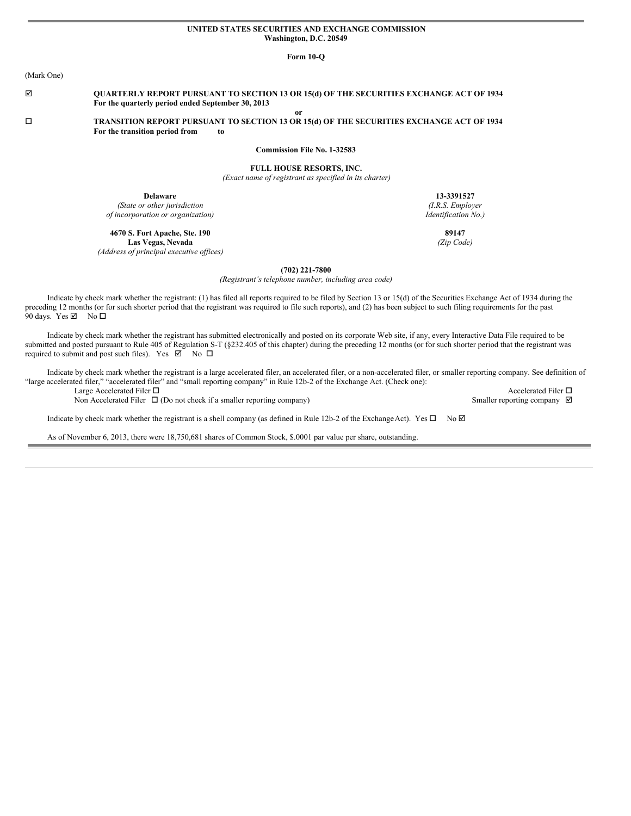#### **UNITED STATES SECURITIES AND EXCHANGE COMMISSION Washington, D.C. 20549**

**Form 10-Q**

# (Mark One) þ **QUARTERLY REPORT PURSUANT TO SECTION 13 OR 15(d) OF THE SECURITIES EXCHANGE ACT OF 1934 For the quarterly period ended September 30, 2013 or** o **TRANSITION REPORT PURSUANT TO SECTION 13 OR 15(d) OF THE SECURITIES EXCHANGE ACT OF 1934 For the transition period from to Commission File No. 1-32583 FULL HOUSE RESORTS, INC.** *(Exact name of registrant as specified in its charter)*

**Delaware**

*(State or other jurisdiction of incorporation or organization)*

**4670 S. Fort Apache, Ste. 190 Las Vegas, Nevada**

*(Address of principal executive of ices)*

**(702) 221-7800**

*(Registrant's telephone number, including area code)*

Indicate by check mark whether the registrant: (1) has filed all reports required to be filed by Section 13 or 15(d) of the Securities Exchange Act of 1934 during the preceding 12 months (or for such shorter period that the registrant was required to file such reports), and (2) has been subject to such filing requirements for the past 90 days. Yes  $\boxtimes$  No  $\square$ 

Indicate by check mark whether the registrant has submitted electronically and posted on its corporate Web site, if any, every Interactive Data File required to be submitted and posted pursuant to Rule 405 of Regulation S-T (§232.405 of this chapter) during the preceding 12 months (or for such shorter period that the registrant was required to submit and post such files). Yes  $\boxtimes$  No  $\square$ 

Indicate by check mark whether the registrant is a large accelerated filer, an accelerated filer, or a non-accelerated filer, or smaller reporting company. See definition of "large accelerated filer," "accelerated filer" and "small reporting company" in Rule 12b-2 of the Exchange Act. (Check one):

Large Accelerated Filer  $\square$ <br>
Non Accelerated Filer  $\square$ <br>
Non Accelerated Filer  $\square$  (Do not check if a smaller reporting company) Smaller reporting company  $\square$ Non Accelerated Filer  $\Box$  (Do not check if a smaller reporting company)

Indicate by check mark whether the registrant is a shell company (as defined in Rule 12b-2 of the ExchangeAct). Yes  $\Box$  No  $\Box$ 

As of November 6, 2013, there were 18,750,681 shares of Common Stock, \$.0001 par value per share, outstanding.

**13-3391527** *(I.R.S. Employer Identification No.)*

> **89147** *(Zip Code)*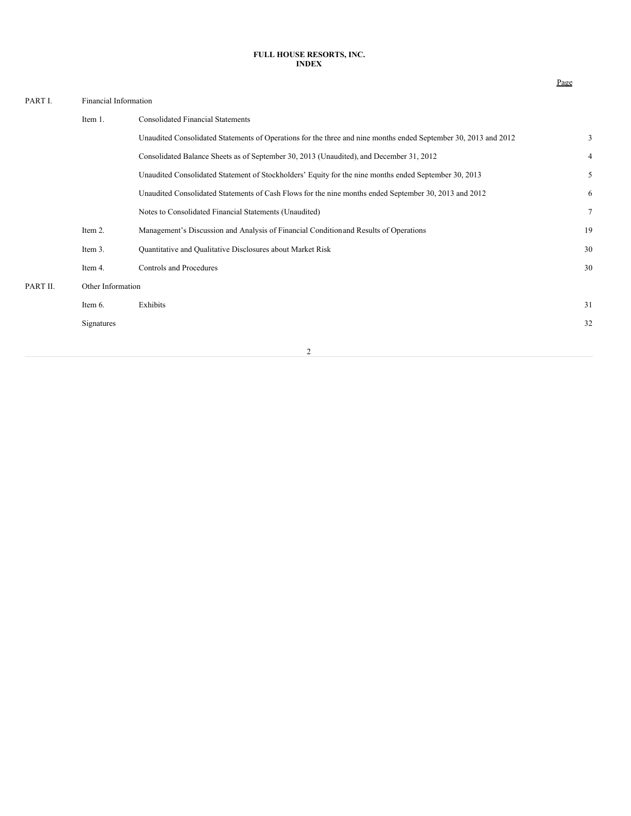## **FULL HOUSE RESORTS, INC. INDEX**

PART I. Financial Information

# Page

|          | Item 1.           | <b>Consolidated Financial Statements</b>                                                                        |                 |
|----------|-------------------|-----------------------------------------------------------------------------------------------------------------|-----------------|
|          |                   | Unaudited Consolidated Statements of Operations for the three and nine months ended September 30, 2013 and 2012 | 3               |
|          |                   | Consolidated Balance Sheets as of September 30, 2013 (Unaudited), and December 31, 2012                         | 4               |
|          |                   | Unaudited Consolidated Statement of Stockholders' Equity for the nine months ended September 30, 2013           | 5               |
|          |                   | Unaudited Consolidated Statements of Cash Flows for the nine months ended September 30, 2013 and 2012           | 6               |
|          |                   | Notes to Consolidated Financial Statements (Unaudited)                                                          | $7\overline{ }$ |
|          | Item 2.           | Management's Discussion and Analysis of Financial Condition and Results of Operations                           | 19              |
|          | Item 3.           | Quantitative and Qualitative Disclosures about Market Risk                                                      | 30              |
|          | Item 4.           | Controls and Procedures                                                                                         | 30              |
| PART II. | Other Information |                                                                                                                 |                 |
|          | Item 6.           | Exhibits                                                                                                        | 31              |
|          | Signatures        |                                                                                                                 | 32              |
|          |                   |                                                                                                                 |                 |
|          |                   | 2                                                                                                               |                 |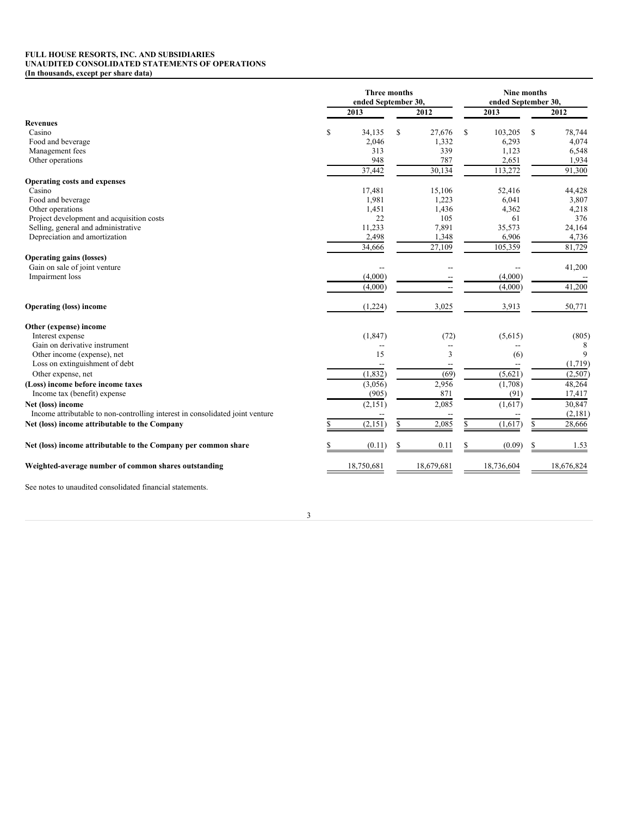## **FULL HOUSE RESORTS, INC. AND SUBSIDIARIES UNAUDITED CONSOLIDATED STATEMENTS OF OPERATIONS (In thousands, except per share data)**

|                                                                               | <b>Three months</b><br>ended September 30, |    |                          | <b>Nine months</b><br>ended September 30, |    |            |  |
|-------------------------------------------------------------------------------|--------------------------------------------|----|--------------------------|-------------------------------------------|----|------------|--|
|                                                                               | 2013                                       |    | 2012                     | 2013                                      |    | 2012       |  |
| <b>Revenues</b>                                                               |                                            |    |                          |                                           |    |            |  |
| Casino                                                                        | \$<br>34,135                               | \$ | 27,676                   | \$<br>103,205                             | \$ | 78,744     |  |
| Food and beverage                                                             | 2,046                                      |    | 1,332                    | 6,293                                     |    | 4,074      |  |
| Management fees                                                               | 313                                        |    | 339                      | 1,123                                     |    | 6,548      |  |
| Other operations                                                              | 948                                        |    | 787                      | 2,651                                     |    | 1,934      |  |
|                                                                               | 37,442                                     |    | 30,134                   | 113,272                                   |    | 91,300     |  |
| <b>Operating costs and expenses</b>                                           |                                            |    |                          |                                           |    |            |  |
| Casino                                                                        | 17,481                                     |    | 15,106                   | 52,416                                    |    | 44,428     |  |
| Food and beverage                                                             | 1,981                                      |    | 1,223                    | 6,041                                     |    | 3,807      |  |
| Other operations                                                              | 1,451                                      |    | 1,436                    | 4,362                                     |    | 4,218      |  |
| Project development and acquisition costs                                     | 22                                         |    | 105                      | 61                                        |    | 376        |  |
| Selling, general and administrative                                           | 11,233                                     |    | 7,891                    | 35,573                                    |    | 24,164     |  |
| Depreciation and amortization                                                 | 2,498                                      |    | 1,348                    | 6,906                                     |    | 4,736      |  |
|                                                                               | 34,666                                     |    | 27,109                   | 105,359                                   |    | 81,729     |  |
| <b>Operating gains (losses)</b>                                               |                                            |    |                          |                                           |    |            |  |
| Gain on sale of joint venture                                                 | $-$                                        |    |                          |                                           |    | 41,200     |  |
| Impairment loss                                                               | (4,000)                                    |    |                          | (4,000)                                   |    |            |  |
|                                                                               | (4,000)                                    |    | $\overline{\phantom{a}}$ | (4,000)                                   |    | 41,200     |  |
| <b>Operating (loss) income</b>                                                | (1,224)                                    |    | 3,025                    | 3,913                                     |    | 50,771     |  |
|                                                                               |                                            |    |                          |                                           |    |            |  |
| Other (expense) income                                                        |                                            |    |                          |                                           |    |            |  |
| Interest expense                                                              | (1, 847)                                   |    | (72)                     | (5,615)                                   |    | (805)      |  |
| Gain on derivative instrument                                                 |                                            |    | $\overline{\phantom{a}}$ | --                                        |    | 8          |  |
| Other income (expense), net                                                   | 15                                         |    | $\overline{3}$           | (6)                                       |    | 9          |  |
| Loss on extinguishment of debt                                                |                                            |    | $-$                      |                                           |    | (1,719)    |  |
| Other expense, net                                                            | (1, 832)                                   |    | (69)                     | (5,621)                                   |    | (2,507)    |  |
| (Loss) income before income taxes                                             | (3,056)                                    |    | 2,956                    | (1,708)                                   |    | 48,264     |  |
| Income tax (benefit) expense                                                  | (905)                                      |    | 871                      | (91)                                      |    | 17,417     |  |
| Net (loss) income                                                             | (2, 151)                                   |    | 2,085                    | (1,617)                                   |    | 30,847     |  |
| Income attributable to non-controlling interest in consolidated joint venture |                                            |    |                          |                                           |    | (2,181)    |  |
| Net (loss) income attributable to the Company                                 | (2, 151)                                   | S. | 2,085                    | (1,617)                                   | S  | 28,666     |  |
| Net (loss) income attributable to the Company per common share                | (0.11)                                     |    | 0.11                     | (0.09)                                    | S  | 1.53       |  |
| Weighted-average number of common shares outstanding                          | 18,750,681                                 |    | 18.679.681               | 18,736,604                                |    | 18,676,824 |  |

See notes to unaudited consolidated financial statements.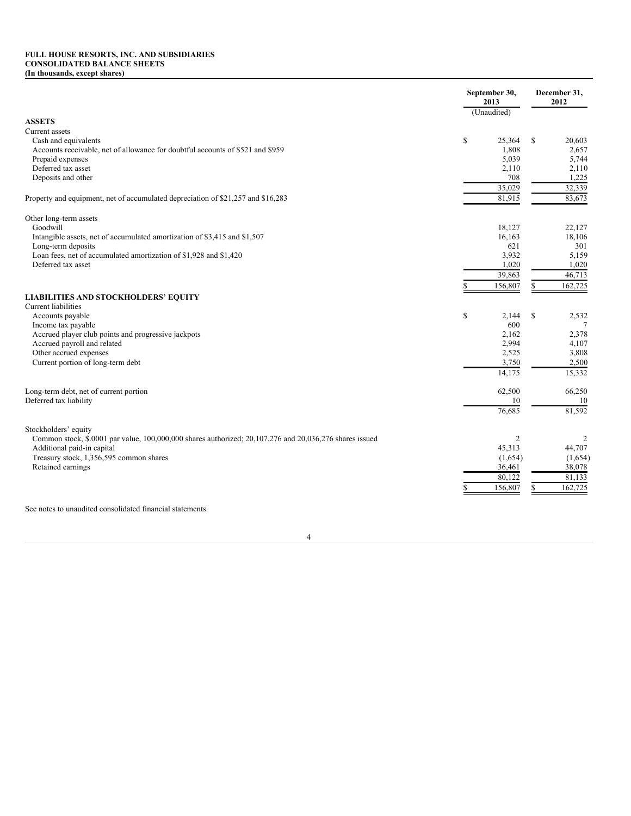## **FULL HOUSE RESORTS, INC. AND SUBSIDIARIES CONSOLIDATED BALANCE SHEETS (In thousands, except shares)**

|                                                                                                         | September 30,<br>2013 |    | December 31,<br>2012 |
|---------------------------------------------------------------------------------------------------------|-----------------------|----|----------------------|
|                                                                                                         | (Unaudited)           |    |                      |
| <b>ASSETS</b>                                                                                           |                       |    |                      |
| Current assets                                                                                          |                       |    |                      |
| Cash and equivalents                                                                                    | \$<br>25,364<br>1,808 | S  | 20,603               |
| Accounts receivable, net of allowance for doubtful accounts of \$521 and \$959<br>Prepaid expenses      | 5,039                 |    | 2,657<br>5,744       |
| Deferred tax asset                                                                                      |                       |    |                      |
| Deposits and other                                                                                      | 2,110<br>708          |    | 2,110<br>1,225       |
|                                                                                                         |                       |    |                      |
|                                                                                                         | 35,029                |    | 32,339               |
| Property and equipment, net of accumulated depreciation of \$21,257 and \$16,283                        | 81,915                |    | 83,673               |
| Other long-term assets                                                                                  |                       |    |                      |
| Goodwill                                                                                                | 18,127                |    | 22,127               |
| Intangible assets, net of accumulated amortization of \$3,415 and \$1,507                               | 16,163                |    | 18,106               |
| Long-term deposits                                                                                      | 621                   |    | 301                  |
| Loan fees, net of accumulated amortization of \$1,928 and \$1,420                                       | 3,932                 |    | 5,159                |
| Deferred tax asset                                                                                      | 1,020                 |    | 1,020                |
|                                                                                                         | 39,863                |    | 46,713               |
|                                                                                                         | 156,807               | \$ | 162,725              |
| <b>LIABILITIES AND STOCKHOLDERS' EQUITY</b>                                                             |                       |    |                      |
| <b>Current liabilities</b>                                                                              |                       |    |                      |
| Accounts payable                                                                                        | \$<br>2,144           | \$ | 2,532                |
| Income tax payable                                                                                      | 600                   |    | 7                    |
| Accrued player club points and progressive jackpots                                                     | 2,162                 |    | 2,378                |
| Accrued payroll and related                                                                             | 2,994                 |    | 4,107                |
| Other accrued expenses                                                                                  | 2,525                 |    | 3,808                |
| Current portion of long-term debt                                                                       | 3,750                 |    | 2,500                |
|                                                                                                         | 14,175                |    | 15,332               |
| Long-term debt, net of current portion                                                                  | 62,500                |    | 66,250               |
| Deferred tax liability                                                                                  | 10                    |    | 10                   |
|                                                                                                         | 76,685                |    | 81,592               |
| Stockholders' equity                                                                                    |                       |    |                      |
| Common stock, \$.0001 par value, 100,000,000 shares authorized; 20,107,276 and 20,036,276 shares issued | $\overline{c}$        |    | 2                    |
| Additional paid-in capital                                                                              | 45,313                |    | 44,707               |
| Treasury stock, 1,356,595 common shares                                                                 | (1,654)               |    | (1,654)              |
| Retained earnings                                                                                       | 36,461                |    | 38,078               |
|                                                                                                         | 80,122                |    | 81,133               |
|                                                                                                         | 156,807               |    | 162,725              |
|                                                                                                         |                       |    |                      |

See notes to unaudited consolidated financial statements.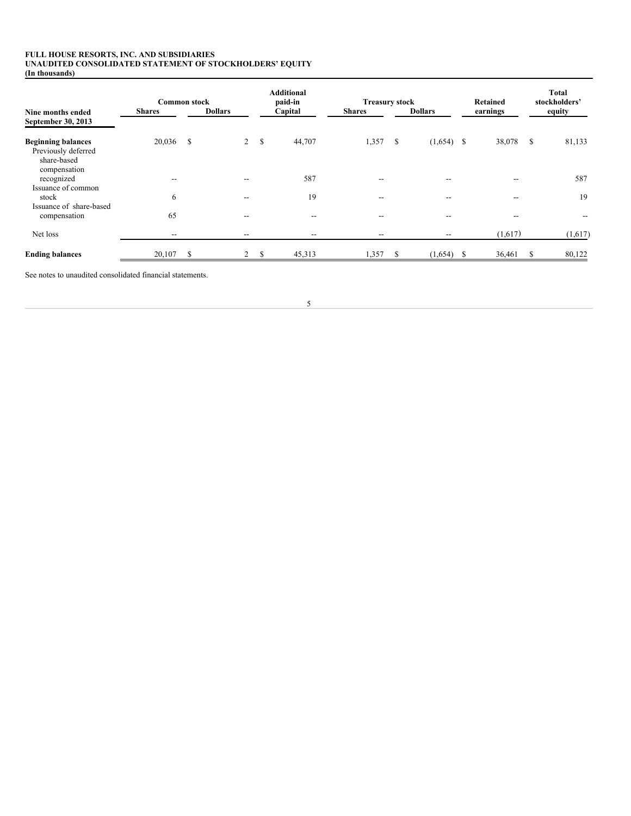## **FULL HOUSE RESORTS, INC. AND SUBSIDIARIES UNAUDITED CONSOLIDATED STATEMENT OF STOCKHOLDERS' EQUITY (In thousands)**

|                                                                                 |                                       | <b>Common stock</b> |                   |               | <b>Additional</b><br>paid-in | <b>Treasury stock</b> |    |                |    | <b>Retained</b> | <b>Total</b><br>stockholders' |         |  |
|---------------------------------------------------------------------------------|---------------------------------------|---------------------|-------------------|---------------|------------------------------|-----------------------|----|----------------|----|-----------------|-------------------------------|---------|--|
| Nine months ended<br>September 30, 2013                                         | <b>Shares</b>                         |                     | <b>Dollars</b>    |               | Capital                      | <b>Shares</b>         |    | <b>Dollars</b> |    | earnings        |                               | equity  |  |
| <b>Beginning balances</b><br>Previously deferred<br>share-based<br>compensation | 20,036                                | - \$                | $\overline{2}$    | -S            | 44,707                       | 1,357                 | \$ | $(1,654)$ \$   |    | 38,078          | - \$                          | 81,133  |  |
| recognized<br>Issuance of common                                                | $\hspace{0.05cm}$ – $\hspace{0.05cm}$ |                     | $- -$             |               | 587                          | $- -$                 |    |                |    |                 |                               | 587     |  |
| stock<br>Issuance of share-based                                                | 6                                     |                     | $\qquad \qquad -$ |               | 19                           | --                    |    |                |    | --              |                               | 19      |  |
| compensation                                                                    | 65                                    |                     | $-$               |               | $- -$                        | --                    |    |                |    |                 |                               |         |  |
| Net loss                                                                        | $\hspace{0.05cm}$ – $\hspace{0.05cm}$ |                     | $- -$             |               | $- -$                        | --                    |    |                |    | (1,617)         |                               | (1,617) |  |
| <b>Ending balances</b>                                                          | 20,107                                | <sup>\$</sup>       | 2                 | <sup>\$</sup> | 45,313                       | 1,357                 | S  | (1,654)        | -S | 36,461          | S                             | 80,122  |  |

See notes to unaudited consolidated financial statements.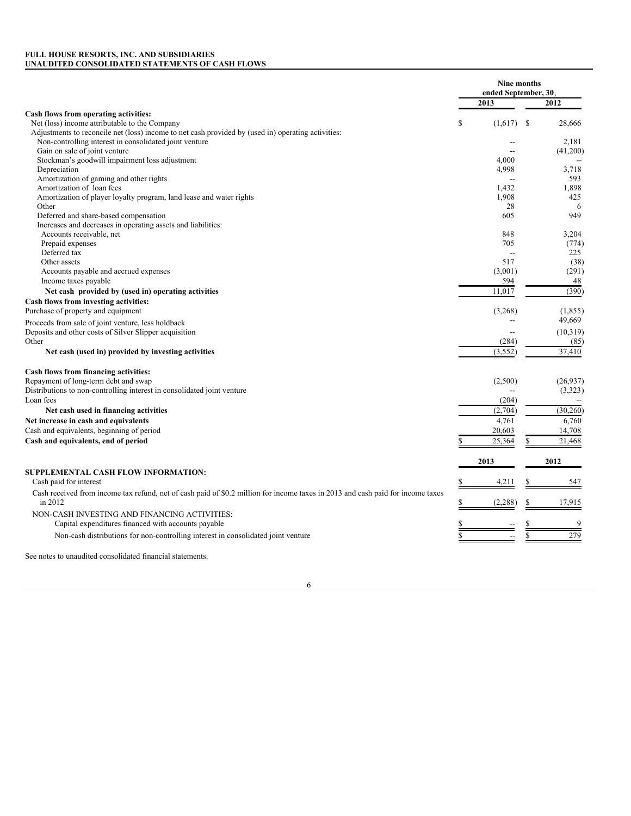## **FULL HOUSE RESORTS, INC. AND SUBSIDIARIES UNAUDITED CONSOLIDATED STATEMENTS OF CASH FLOWS**

|                                                                                                                                 | <b>Nine months</b><br>ended September, 30. |               |
|---------------------------------------------------------------------------------------------------------------------------------|--------------------------------------------|---------------|
|                                                                                                                                 | 2013                                       | 2012          |
| Cash flows from operating activities:                                                                                           |                                            |               |
| Net (loss) income attributable to the Company                                                                                   | \$<br>(1,617)                              | 28,666<br>-\$ |
| Adjustments to reconcile net (loss) income to net cash provided by (used in) operating activities:                              |                                            |               |
| Non-controlling interest in consolidated joint venture                                                                          | --                                         | 2.181         |
| Gain on sale of joint venture                                                                                                   | $\overline{\phantom{a}}$                   | (41,200)      |
| Stockman's goodwill impairment loss adjustment                                                                                  | 4.000                                      |               |
| Depreciation                                                                                                                    | 4,998                                      | 3,718         |
| Amortization of gaming and other rights<br>Amortization of loan fees                                                            | $\overline{\phantom{a}}$                   | 593           |
|                                                                                                                                 | 1.432                                      | 1,898         |
| Amortization of player loyalty program, land lease and water rights                                                             | 1,908                                      | 425           |
| Other                                                                                                                           | 28                                         | 6             |
| Deferred and share-based compensation                                                                                           | 605                                        | 949           |
| Increases and decreases in operating assets and liabilities:                                                                    |                                            |               |
| Accounts receivable, net                                                                                                        | 848                                        | 3,204         |
| Prepaid expenses                                                                                                                | 705                                        | (774)         |
| Deferred tax                                                                                                                    | $\overline{\phantom{a}}$                   | 225           |
| Other assets                                                                                                                    | 517                                        | (38)          |
| Accounts payable and accrued expenses                                                                                           | (3,001)                                    | (291)         |
| Income taxes payable                                                                                                            | 594                                        | 48            |
| Net cash provided by (used in) operating activities                                                                             | 11.017                                     | (390)         |
| Cash flows from investing activities:                                                                                           |                                            |               |
| Purchase of property and equipment                                                                                              | (3,268)                                    | (1, 855)      |
| Proceeds from sale of joint venture, less holdback                                                                              |                                            | 49,669        |
| Deposits and other costs of Silver Slipper acquisition                                                                          |                                            | (10,319)      |
| Other                                                                                                                           | (284)                                      | (85)          |
| Net cash (used in) provided by investing activities                                                                             | (3, 552)                                   | 37,410        |
| Cash flows from financing activities:                                                                                           |                                            |               |
| Repayment of long-term debt and swap                                                                                            | (2,500)                                    | (26,937)      |
| Distributions to non-controlling interest in consolidated joint venture                                                         |                                            | (3,323)       |
| Loan fees                                                                                                                       | (204)                                      |               |
| Net cash used in financing activities                                                                                           | (2,704)                                    | (30, 260)     |
| Net increase in cash and equivalents                                                                                            | 4,761                                      | 6.760         |
| Cash and equivalents, beginning of period                                                                                       | 20,603                                     | 14,708        |
|                                                                                                                                 |                                            |               |
| Cash and equivalents, end of period                                                                                             | 25,364                                     | 21,468        |
|                                                                                                                                 | 2013                                       | 2012          |
| SUPPLEMENTAL CASH FLOW INFORMATION:                                                                                             |                                            |               |
| Cash paid for interest                                                                                                          | 4,211                                      | 547           |
| Cash received from income tax refund, net of cash paid of \$0.2 million for income taxes in 2013 and cash paid for income taxes |                                            |               |
| in 2012                                                                                                                         | (2, 288)                                   | 17,915        |
| NON-CASH INVESTING AND FINANCING ACTIVITIES:                                                                                    |                                            |               |
| Capital expenditures financed with accounts payable                                                                             | S                                          | 9             |
|                                                                                                                                 |                                            |               |
| Non-cash distributions for non-controlling interest in consolidated joint venture                                               | $\overline{z}$                             | 279           |
|                                                                                                                                 |                                            |               |

See notes to unaudited consolidated financial statements.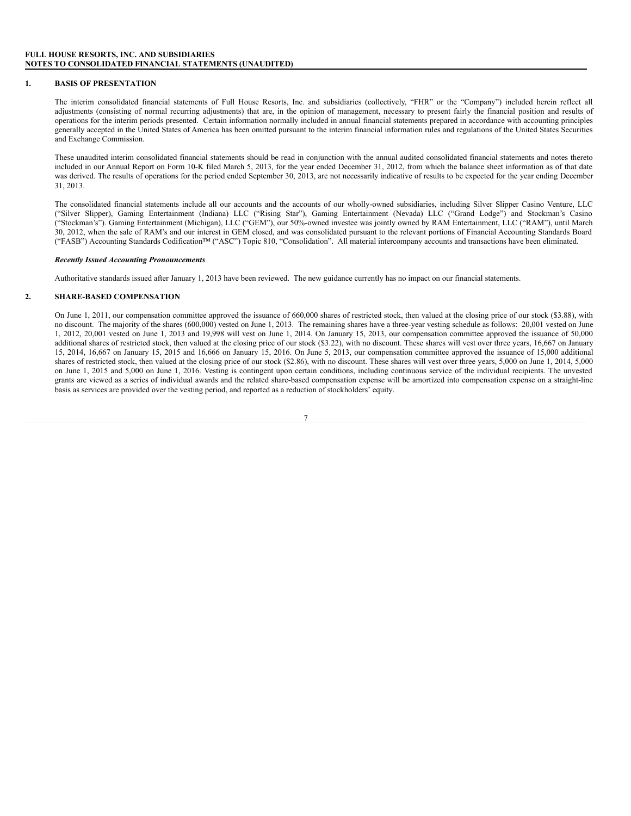## **FULL HOUSE RESORTS, INC. AND SUBSIDIARIES NOTES TO CONSOLIDATED FINANCIAL STATEMENTS (UNAUDITED)**

## **1. BASIS OF PRESENTATION**

The interim consolidated financial statements of Full House Resorts, Inc. and subsidiaries (collectively, "FHR" or the "Company") included herein reflect all adjustments (consisting of normal recurring adjustments) that are, in the opinion of management, necessary to present fairly the financial position and results of operations for the interim periods presented. Certain information normally included in annual financial statements prepared in accordance with accounting principles generally accepted in the United States of America has been omitted pursuant to the interim financial information rules and regulations of the United States Securities and Exchange Commission.

These unaudited interim consolidated financial statements should be read in conjunction with the annual audited consolidated financial statements and notes thereto included in our Annual Report on Form 10-K filed March 5, 2013, for the year ended December 31, 2012, from which the balance sheet information as of that date was derived. The results of operations for the period ended September 30, 2013, are not necessarily indicative of results to be expected for the year ending December 31, 2013.

The consolidated financial statements include all our accounts and the accounts of our wholly-owned subsidiaries, including Silver Slipper Casino Venture, LLC ("Silver Slipper), Gaming Entertainment (Indiana) LLC ("Rising Star"), Gaming Entertainment (Nevada) LLC ("Grand Lodge") and Stockman's Casino ("Stockman's"). Gaming Entertainment (Michigan), LLC ("GEM"), our 50%-owned investee was jointly owned by RAM Entertainment, LLC ("RAM"), until March 30, 2012, when the sale of RAM's and our interest in GEM closed, and was consolidated pursuant to the relevant portions of Financial Accounting Standards Board ("FASB") Accounting Standards Codification™ ("ASC") Topic 810, "Consolidation". All material intercompany accounts and transactions have been eliminated.

### *Recently Issued Accounting Pronouncements*

Authoritative standards issued after January 1, 2013 have been reviewed. The new guidance currently has no impact on our financial statements.

## **2. SHARE-BASED COMPENSATION**

On June 1, 2011, our compensation committee approved the issuance of 660,000 shares of restricted stock, then valued at the closing price of our stock (\$3.88), with no discount. The majority of the shares (600,000) vested on June 1, 2013. The remaining shares have a three-year vesting schedule as follows: 20,001 vested on June 1, 2012, 20,001 vested on June 1, 2013 and 19,998 will vest on June 1, 2014. On January 15, 2013, our compensation committee approved the issuance of 50,000 additional shares of restricted stock, then valued at the closing price of our stock (\$3.22), with no discount. These shares will vest over three years, 16,667 on January 15, 2014, 16,667 on January 15, 2015 and 16,666 on January 15, 2016. On June 5, 2013, our compensation committee approved the issuance of 15,000 additional shares of restricted stock, then valued at the closing price of our stock (\$2.86), with no discount. These shares will vest over three years, 5,000 on June 1, 2014, 5,000 on June 1, 2015 and 5,000 on June 1, 2016. Vesting is contingent upon certain conditions, including continuous service of the individual recipients. The unvested grants are viewed as a series of individual awards and the related share-based compensation expense will be amortized into compensation expense on a straight-line basis as services are provided over the vesting period, and reported as a reduction of stockholders' equity.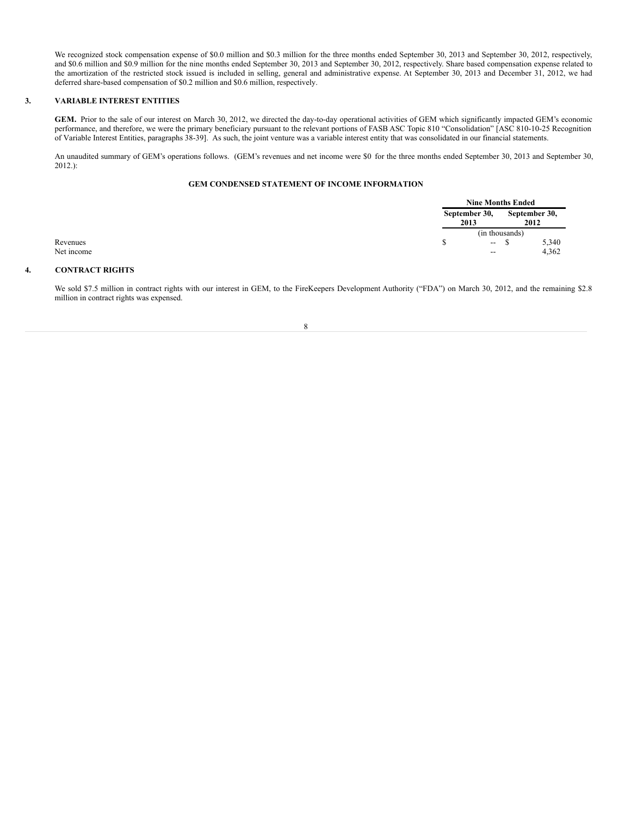We recognized stock compensation expense of \$0.0 million and \$0.3 million for the three months ended September 30, 2013 and September 30, 2012, respectively, and \$0.6 million and \$0.9 million for the nine months ended September 30, 2013 and September 30, 2012, respectively. Share based compensation expense related to the amortization of the restricted stock issued is included in selling, general and administrative expense. At September 30, 2013 and December 31, 2012, we had deferred share-based compensation of \$0.2 million and \$0.6 million, respectively.

## **3. VARIABLE INTEREST ENTITIES**

GEM. Prior to the sale of our interest on March 30, 2012, we directed the day-to-day operational activities of GEM which significantly impacted GEM's economic performance, and therefore, we were the primary beneficiary pursuant to the relevant portions of FASB ASC Topic 810 "Consolidation" [ASC 810-10-25 Recognition of Variable Interest Entities, paragraphs 38-39]. As such, the joint venture was a variable interest entity that was consolidated in our financial statements.

An unaudited summary of GEM's operations follows. (GEM's revenues and net income were \$0 for the three months ended September 30, 2013 and September 30, 2012.):

## **GEM CONDENSED STATEMENT OF INCOME INFORMATION**

| <b>Nine Months Ended</b> |                                                     |                       |
|--------------------------|-----------------------------------------------------|-----------------------|
| September 30,<br>2012    |                                                     | September 30,<br>2013 |
| (in thousands)           |                                                     |                       |
| 5,340                    | $\hspace{0.05cm} -\hspace{0.05cm} -\hspace{0.05cm}$ |                       |
| 4,362                    | $\overline{\phantom{a}}$                            |                       |

## **4. CONTRACT RIGHTS**

We sold \$7.5 million in contract rights with our interest in GEM, to the FireKeepers Development Authority ("FDA") on March 30, 2012, and the remaining \$2.8 million in contract rights was expensed.

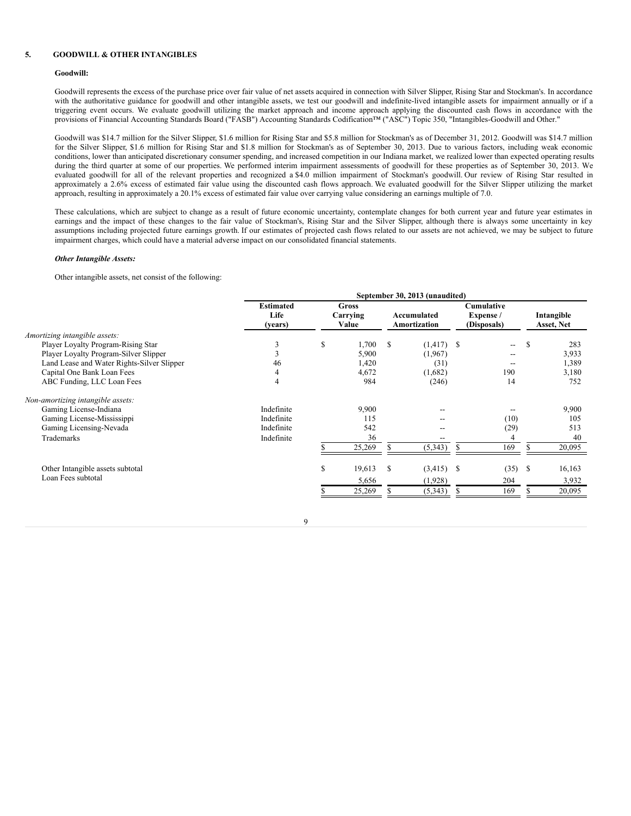## **5. GOODWILL & OTHER INTANGIBLES**

## **Goodwill:**

Goodwill represents the excess of the purchase price over fair value of net assets acquired in connection with Silver Slipper, Rising Star and Stockman's. In accordance with the authoritative guidance for goodwill and other intangible assets, we test our goodwill and indefinite-lived intangible assets for impairment annually or if a triggering event occurs. We evaluate goodwill utilizing the market approach and income approach applying the discounted cash flows in accordance with the provisions of Financial Accounting Standards Board ("FASB") Accounting Standards Codification™ ("ASC") Topic 350, "Intangibles-Goodwill and Other."

Goodwill was \$14.7 million for the Silver Slipper, \$1.6 million for Rising Star and \$5.8 million for Stockman's as of December 31, 2012. Goodwill was \$14.7 million for the Silver Slipper, \$1.6 million for Rising Star and \$1.8 million for Stockman's as of September 30, 2013. Due to various factors, including weak economic conditions, lower than anticipated discretionary consumer spending, and increased competition in our Indiana market, we realized lower than expected operating results during the third quarter at some of our properties. We performed interim impairment assessments of goodwill for these properties as of September 30, 2013. We evaluated goodwill for all of the relevant properties and recognized a \$4.0 million impairment of Stockman's goodwill. Our review of Rising Star resulted in approximately a 2.6% excess of estimated fair value using the discounted cash flows approach. We evaluated goodwill for the Silver Slipper utilizing the market approach, resulting in approximately a 20.1% excess of estimated fair value over carrying value considering an earnings multiple of 7.0.

These calculations, which are subject to change as a result of future economic uncertainty, contemplate changes for both current year and future year estimates in earnings and the impact of these changes to the fair value of Stockman's, Rising Star and the Silver Slipper, although there is always some uncertainty in key assumptions including projected future earnings growth. If our estimates of projected cash flows related to our assets are not achieved, we may be subject to future impairment charges, which could have a material adverse impact on our consolidated financial statements.

## *Other Intangible Assets:*

Other intangible assets, net consist of the following:

|                                            | September 30, 2013 (unaudited)      |    |                                   |               |                             |     |                                        |               |                          |  |  |
|--------------------------------------------|-------------------------------------|----|-----------------------------------|---------------|-----------------------------|-----|----------------------------------------|---------------|--------------------------|--|--|
|                                            | <b>Estimated</b><br>Life<br>(years) |    | <b>Gross</b><br>Carrying<br>Value |               | Accumulated<br>Amortization |     | Cumulative<br>Expense /<br>(Disposals) |               | Intangible<br>Asset, Net |  |  |
| Amortizing intangible assets:              |                                     |    |                                   |               |                             |     |                                        |               |                          |  |  |
| Player Loyalty Program-Rising Star         | 3                                   | \$ | 1,700                             | <sup>\$</sup> | $(1,417)$ \$                |     | $\overline{\phantom{a}}$               | <sup>\$</sup> | 283                      |  |  |
| Player Loyalty Program-Silver Slipper      |                                     |    | 5,900                             |               | (1,967)                     |     |                                        |               | 3,933                    |  |  |
| Land Lease and Water Rights-Silver Slipper | 46                                  |    | 1,420                             |               | (31)                        |     | $- -$                                  |               | 1,389                    |  |  |
| Capital One Bank Loan Fees                 | 4                                   |    | 4,672                             |               | (1,682)                     |     | 190                                    |               | 3,180                    |  |  |
| ABC Funding, LLC Loan Fees                 | 4                                   |    | 984                               |               | (246)                       |     | 14                                     |               | 752                      |  |  |
| Non-amortizing intangible assets:          |                                     |    |                                   |               |                             |     |                                        |               |                          |  |  |
| Gaming License-Indiana                     | Indefinite                          |    | 9,900                             |               | $- -$                       |     |                                        |               | 9,900                    |  |  |
| Gaming License-Mississippi                 | Indefinite                          |    | 115                               |               | --                          |     | (10)                                   |               | 105                      |  |  |
| Gaming Licensing-Nevada                    | Indefinite                          |    | 542                               |               |                             |     | (29)                                   |               | 513                      |  |  |
| Trademarks                                 | Indefinite                          |    | 36                                |               | --                          |     | 4                                      |               | 40                       |  |  |
|                                            |                                     |    | 25,269                            |               | (5,343)                     |     | 169                                    |               | 20,095                   |  |  |
| Other Intangible assets subtotal           |                                     | S  | 19,613                            | <sup>\$</sup> | (3, 415)                    | -S  | (35)                                   | - \$          | 16,163                   |  |  |
| Loan Fees subtotal                         |                                     |    | 5,656                             |               | (1,928)                     |     | 204                                    |               | 3,932                    |  |  |
|                                            |                                     |    | 25,269                            |               | (5,343)                     | \$. | 169                                    |               | 20,095                   |  |  |
|                                            |                                     |    |                                   |               |                             |     |                                        |               |                          |  |  |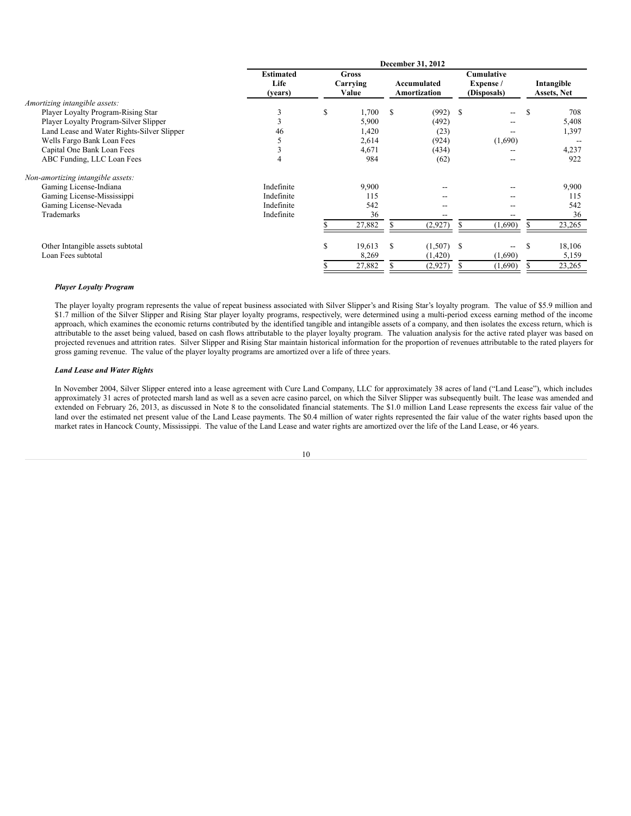|                                            |                                     |                            |               | December 31, 2012           |     |                                        |    |                           |
|--------------------------------------------|-------------------------------------|----------------------------|---------------|-----------------------------|-----|----------------------------------------|----|---------------------------|
|                                            | <b>Estimated</b><br>Life<br>(years) | Gross<br>Carrying<br>Value |               | Accumulated<br>Amortization |     | Cumulative<br>Expense /<br>(Disposals) |    | Intangible<br>Assets, Net |
| Amortizing intangible assets:              |                                     |                            |               |                             |     |                                        |    |                           |
| Player Loyalty Program-Rising Star         | 3                                   | \$<br>1,700                | -S            | (992)                       | - S | $- -$                                  | -S | 708                       |
| Player Loyalty Program-Silver Slipper      | 3                                   | 5,900                      |               | (492)                       |     |                                        |    | 5,408                     |
| Land Lease and Water Rights-Silver Slipper | 46                                  | 1,420                      |               | (23)                        |     |                                        |    | 1,397                     |
| Wells Fargo Bank Loan Fees                 |                                     | 2,614                      |               | (924)                       |     | (1,690)                                |    | $-$                       |
| Capital One Bank Loan Fees                 | 3                                   | 4,671                      |               | (434)                       |     |                                        |    | 4,237                     |
| ABC Funding, LLC Loan Fees                 | 4                                   | 984                        |               | (62)                        |     | $- -$                                  |    | 922                       |
| Non-amortizing intangible assets:          |                                     |                            |               |                             |     |                                        |    |                           |
| Gaming License-Indiana                     | Indefinite                          | 9,900                      |               |                             |     |                                        |    | 9,900                     |
| Gaming License-Mississippi                 | Indefinite                          | 115                        |               |                             |     |                                        |    | 115                       |
| Gaming License-Nevada                      | Indefinite                          | 542                        |               |                             |     |                                        |    | 542                       |
| Trademarks                                 | Indefinite                          | 36                         |               |                             |     |                                        |    | 36                        |
|                                            |                                     | 27,882                     |               | (2,927)                     |     | (1,690)                                |    | 23,265                    |
| Other Intangible assets subtotal           |                                     | \$<br>19,613               | <sup>\$</sup> | $(1,507)$ \$                |     | $\overline{\phantom{a}}$               | -S | 18,106                    |
| Loan Fees subtotal                         |                                     | 8,269                      |               | (1,420)                     |     | (1,690)                                |    | 5,159                     |
|                                            |                                     |                            |               |                             |     |                                        |    |                           |
|                                            |                                     | 27,882                     |               | (2,927)                     |     | (1,690)                                |    | 23,265                    |

## *Player Loyalty Program*

The player loyalty program represents the value of repeat business associated with Silver Slipper's and Rising Star's loyalty program. The value of \$5.9 million and \$1.7 million of the Silver Slipper and Rising Star player loyalty programs, respectively, were determined using a multi-period excess earning method of the income approach, which examines the economic returns contributed by the identified tangible and intangible assets of a company, and then isolates the excess return, which is attributable to the asset being valued, based on cash flows attributable to the player loyalty program. The valuation analysis for the active rated player was based on projected revenues and attrition rates. Silver Slipper and Rising Star maintain historical information for the proportion of revenues attributable to the rated players for gross gaming revenue. The value of the player loyalty programs are amortized over a life of three years.

## *Land Lease and Water Rights*

In November 2004, Silver Slipper entered into a lease agreement with Cure Land Company, LLC for approximately 38 acres of land ("Land Lease"), which includes approximately 31 acres of protected marsh land as well as a seven acre casino parcel, on which the Silver Slipper was subsequently built. The lease was amended and extended on February 26, 2013, as discussed in Note 8 to the consolidated financial statements. The \$1.0 million Land Lease represents the excess fair value of the land over the estimated net present value of the Land Lease payments. The \$0.4 million of water rights represented the fair value of the water rights based upon the market rates in Hancock County, Mississippi. The value of the Land Lease and water rights are amortized over the life of the Land Lease, or 46 years.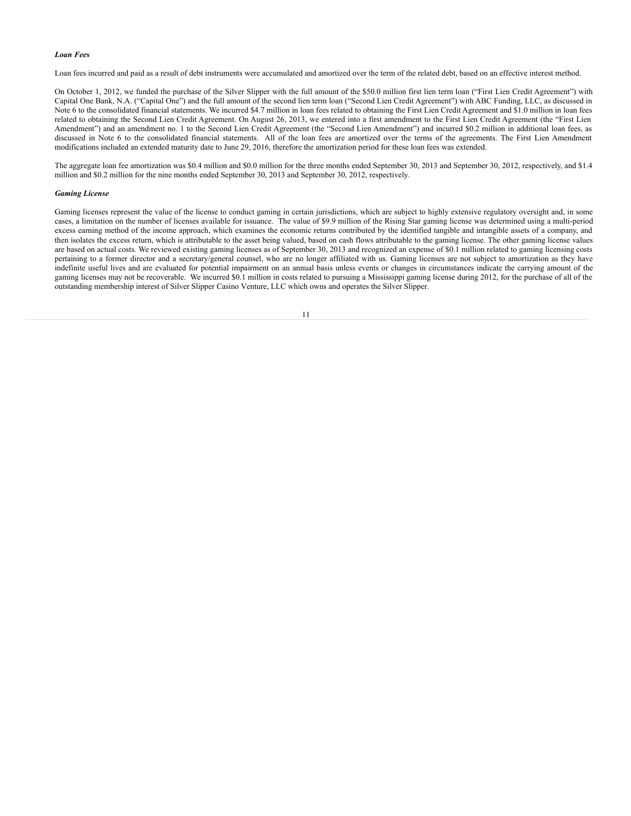### *Loan Fees*

Loan fees incurred and paid as a result of debt instruments were accumulated and amortized over the term of the related debt, based on an effective interest method.

On October 1, 2012, we funded the purchase of the Silver Slipper with the full amount of the \$50.0 million first lien term loan ("First Lien Credit Agreement") with Capital One Bank, N.A. ("Capital One") and the full amount of the second lien term loan ("Second Lien Credit Agreement") with ABC Funding, LLC, as discussed in Note 6 to the consolidated financial statements. We incurred \$4.7 million in loan fees related to obtaining the First Lien Credit Agreement and \$1.0 million in loan fees related to obtaining the Second Lien Credit Agreement. On August 26, 2013, we entered into a first amendment to the First Lien Credit Agreement (the "First Lien Amendment") and an amendment no. 1 to the Second Lien Credit Agreement (the "Second Lien Amendment") and incurred \$0.2 million in additional loan fees, as discussed in Note 6 to the consolidated financial statements. All of the loan fees are amortized over the terms of the agreements. The First Lien Amendment modifications included an extended maturity date to June 29, 2016, therefore the amortization period for these loan fees was extended.

The aggregate loan fee amortization was \$0.4 million and \$0.0 million for the three months ended September 30, 2013 and September 30, 2012, respectively, and \$1.4 million and \$0.2 million for the nine months ended September 30, 2013 and September 30, 2012, respectively.

### *Gaming License*

Gaming licenses represent the value of the license to conduct gaming in certain jurisdictions, which are subject to highly extensive regulatory oversight and, in some cases, a limitation on the number of licenses available for issuance. The value of \$9.9 million of the Rising Star gaming license was determined using a multi-period excess earning method of the income approach, which examines the economic returns contributed by the identified tangible and intangible assets of a company, and then isolates the excess return, which is attributable to the asset being valued, based on cash flows attributable to the gaming license. The other gaming license values are based on actual costs. We reviewed existing gaming licenses as of September 30, 2013 and recognized an expense of \$0.1 million related to gaming licensing costs pertaining to a former director and a secretary/general counsel, who are no longer affiliated with us. Gaming licenses are not subject to amortization as they have indefinite useful lives and are evaluated for potential impairment on an annual basis unless events or changes in circumstances indicate the carrying amount of the gaming licenses may not be recoverable. We incurred \$0.1 million in costs related to pursuing a Mississippi gaming license during 2012, for the purchase of all of the outstanding membership interest of Silver Slipper Casino Venture, LLC which owns and operates the Silver Slipper.

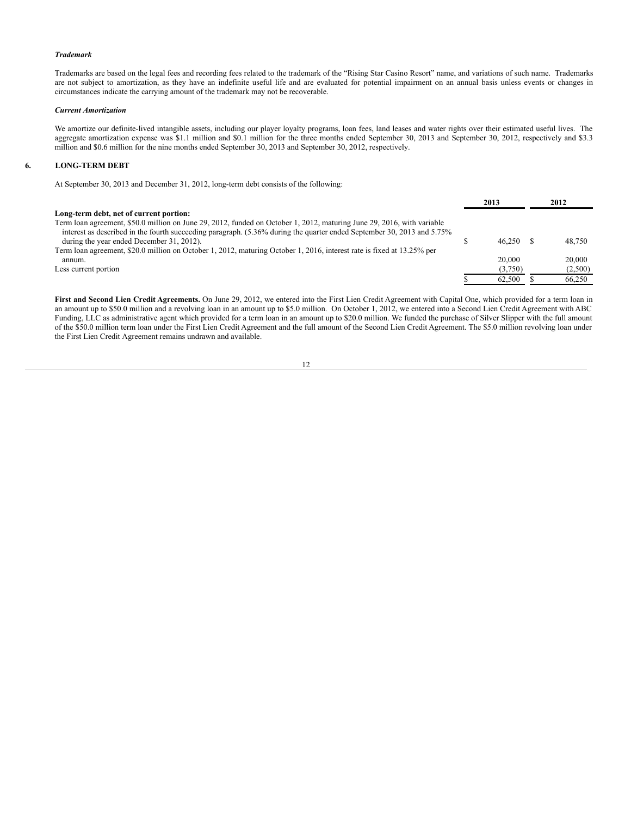## *Trademark*

Trademarks are based on the legal fees and recording fees related to the trademark of the "Rising Star Casino Resort" name, and variations of such name. Trademarks are not subject to amortization, as they have an indefinite useful life and are evaluated for potential impairment on an annual basis unless events or changes in circumstances indicate the carrying amount of the trademark may not be recoverable.

#### *Current Amortization*

We amortize our definite-lived intangible assets, including our player loyalty programs, loan fees, land leases and water rights over their estimated useful lives. The aggregate amortization expense was \$1.1 million and \$0.1 million for the three months ended September 30, 2013 and September 30, 2012, respectively and \$3.3 million and \$0.6 million for the nine months ended September 30, 2013 and September 30, 2012, respectively.

## **6. LONG-TERM DEBT**

At September 30, 2013 and December 31, 2012, long-term debt consists of the following:

|                                                                                                                           | 2013    | 2012    |
|---------------------------------------------------------------------------------------------------------------------------|---------|---------|
| Long-term debt, net of current portion:                                                                                   |         |         |
| Term loan agreement, \$50.0 million on June 29, 2012, funded on October 1, 2012, maturing June 29, 2016, with variable    |         |         |
| interest as described in the fourth succeeding paragraph. $(5.36\%$ during the quarter ended September 30, 2013 and 5.75% |         |         |
| during the year ended December 31, 2012).                                                                                 | 46.250  | 48.750  |
| Term loan agreement, \$20.0 million on October 1, 2012, maturing October 1, 2016, interest rate is fixed at 13.25% per    |         |         |
| annum.                                                                                                                    | 20,000  | 20,000  |
| Less current portion                                                                                                      | (3,750) | (2,500) |
|                                                                                                                           | 62,500  | 66.250  |
|                                                                                                                           |         |         |

**First and Second Lien Credit Agreements.** On June 29, 2012, we entered into the First Lien Credit Agreement with Capital One, which provided for a term loan in an amount up to \$50.0 million and a revolving loan in an amount up to \$5.0 million. On October 1, 2012, we entered into a Second Lien Credit Agreement with ABC Funding, LLC as administrative agent which provided for a term loan in an amount up to \$20.0 million. We funded the purchase of Silver Slipper with the full amount of the \$50.0 million term loan under the First Lien Credit Agreement and the full amount of the Second Lien Credit Agreement. The \$5.0 million revolving loan under the First Lien Credit Agreement remains undrawn and available.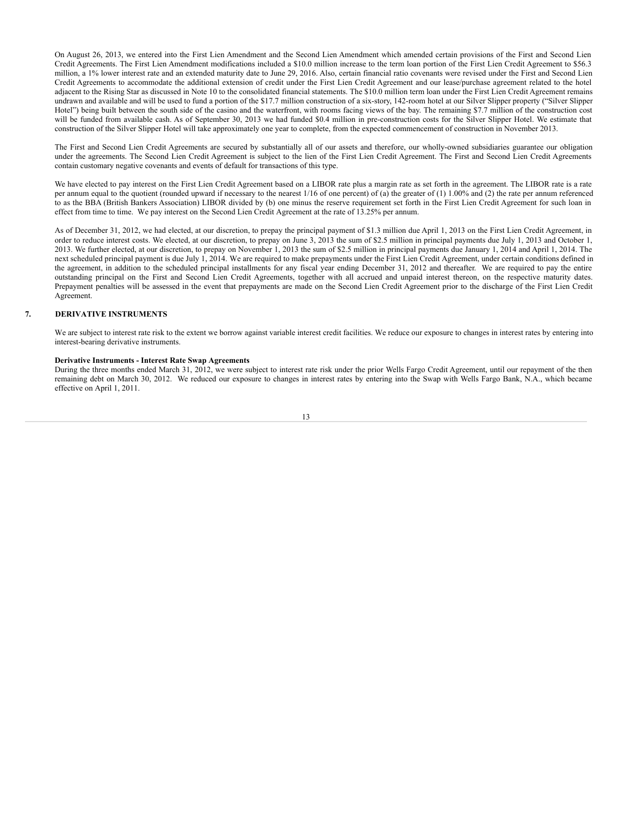On August 26, 2013, we entered into the First Lien Amendment and the Second Lien Amendment which amended certain provisions of the First and Second Lien Credit Agreements. The First Lien Amendment modifications included a \$10.0 million increase to the term loan portion of the First Lien Credit Agreement to \$56.3 million, a 1% lower interest rate and an extended maturity date to June 29, 2016. Also, certain financial ratio covenants were revised under the First and Second Lien Credit Agreements to accommodate the additional extension of credit under the First Lien Credit Agreement and our lease/purchase agreement related to the hotel adjacent to the Rising Star as discussed in Note 10 to the consolidated financial statements. The \$10.0 million term loan under the First Lien Credit Agreement remains undrawn and available and will be used to fund a portion of the \$17.7 million construction of a six-story, 142-room hotel at our Silver Slipper property ("Silver Slipper Hotel") being built between the south side of the casino and the waterfront, with rooms facing views of the bay. The remaining \$7.7 million of the construction cost will be funded from available cash. As of September 30, 2013 we had funded \$0.4 million in pre-construction costs for the Silver Slipper Hotel. We estimate that construction of the Silver Slipper Hotel will take approximately one year to complete, from the expected commencement of construction in November 2013.

The First and Second Lien Credit Agreements are secured by substantially all of our assets and therefore, our wholly-owned subsidiaries guarantee our obligation under the agreements. The Second Lien Credit Agreement is subject to the lien of the First Lien Credit Agreement. The First and Second Lien Credit Agreements contain customary negative covenants and events of default for transactions of this type.

We have elected to pay interest on the First Lien Credit Agreement based on a LIBOR rate plus a margin rate as set forth in the agreement. The LIBOR rate is a rate per annum equal to the quotient (rounded upward if necessary to the nearest  $1/16$  of one percent) of (a) the greater of (1) 1.00% and (2) the rate per annum referenced to as the BBA (British Bankers Association) LIBOR divided by (b) one minus the reserve requirement set forth in the First Lien Credit Agreement for such loan in effect from time to time. We pay interest on the Second Lien Credit Agreement at the rate of 13.25% per annum.

As of December 31, 2012, we had elected, at our discretion, to prepay the principal payment of \$1.3 million due April 1, 2013 on the First Lien Credit Agreement, in order to reduce interest costs. We elected, at our discretion, to prepay on June 3, 2013 the sum of \$2.5 million in principal payments due July 1, 2013 and October 1, 2013. We further elected, at our discretion, to prepay on November 1, 2013 the sum of \$2.5 million in principal payments due January 1, 2014 and April 1, 2014. The next scheduled principal payment is due July 1, 2014. We are required to make prepayments under the First Lien Credit Agreement, under certain conditions defined in the agreement, in addition to the scheduled principal installments for any fiscal year ending December 31, 2012 and thereafter. We are required to pay the entire outstanding principal on the First and Second Lien Credit Agreements, together with all accrued and unpaid interest thereon, on the respective maturity dates. Prepayment penalties will be assessed in the event that prepayments are made on the Second Lien Credit Agreement prior to the discharge of the First Lien Credit Agreement.

## **7. DERIVATIVE INSTRUMENTS**

We are subject to interest rate risk to the extent we borrow against variable interest credit facilities. We reduce our exposure to changes in interest rates by entering into interest-bearing derivative instruments.

## **Derivative Instruments - Interest Rate Swap Agreements**

During the three months ended March 31, 2012, we were subject to interest rate risk under the prior Wells Fargo Credit Agreement, until our repayment of the then remaining debt on March 30, 2012. We reduced our exposure to changes in interest rates by entering into the Swap with Wells Fargo Bank, N.A., which became effective on April 1, 2011.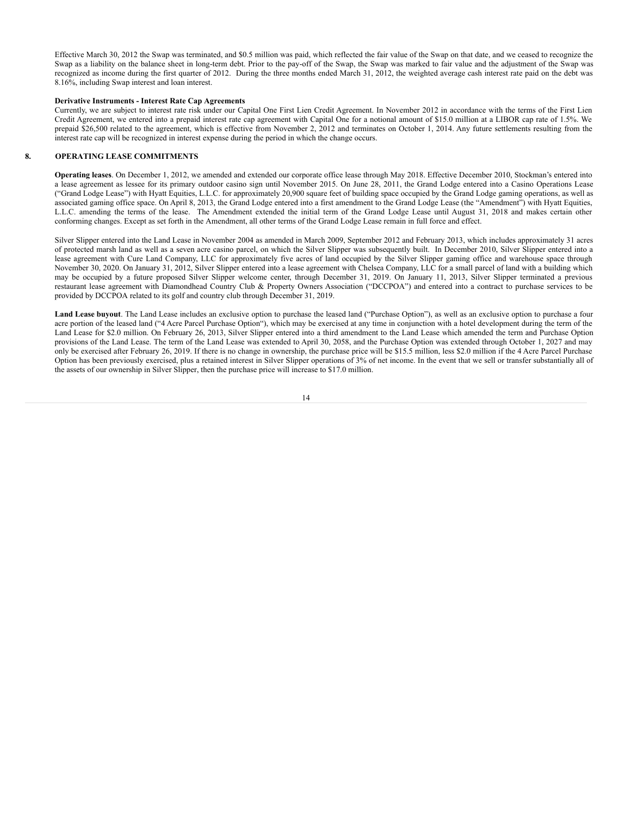Effective March 30, 2012 the Swap was terminated, and \$0.5 million was paid, which reflected the fair value of the Swap on that date, and we ceased to recognize the Swap as a liability on the balance sheet in long-term debt. Prior to the pay-off of the Swap, the Swap was marked to fair value and the adjustment of the Swap was recognized as income during the first quarter of 2012. During the three months ended March 31, 2012, the weighted average cash interest rate paid on the debt was 8.16%, including Swap interest and loan interest.

### **Derivative Instruments - Interest Rate Cap Agreements**

Currently, we are subject to interest rate risk under our Capital One First Lien Credit Agreement. In November 2012 in accordance with the terms of the First Lien Credit Agreement, we entered into a prepaid interest rate cap agreement with Capital One for a notional amount of \$15.0 million at a LIBOR cap rate of 1.5%. We prepaid \$26,500 related to the agreement, which is effective from November 2, 2012 and terminates on October 1, 2014. Any future settlements resulting from the interest rate cap will be recognized in interest expense during the period in which the change occurs.

## **8. OPERATING LEASE COMMITMENTS**

**Operating leases**. On December 1, 2012, we amended and extended our corporate office lease through May 2018. Effective December 2010, Stockman's entered into a lease agreement as lessee for its primary outdoor casino sign until November 2015. On June 28, 2011, the Grand Lodge entered into a Casino Operations Lease ("Grand Lodge Lease") with Hyatt Equities, L.L.C. for approximately 20,900 square feet of building space occupied by the Grand Lodge gaming operations, as well as associated gaming office space. On April 8, 2013, the Grand Lodge entered into a first amendment to the Grand Lodge Lease (the "Amendment") with Hyatt Equities, L.L.C. amending the terms of the lease. The Amendment extended the initial term of the Grand Lodge Lease until August 31, 2018 and makes certain other conforming changes. Except as set forth in the Amendment, all other terms of the Grand Lodge Lease remain in full force and effect.

Silver Slipper entered into the Land Lease in November 2004 as amended in March 2009, September 2012 and February 2013, which includes approximately 31 acres of protected marsh land as well as a seven acre casino parcel, on which the Silver Slipper was subsequently built. In December 2010, Silver Slipper entered into a lease agreement with Cure Land Company, LLC for approximately five acres of land occupied by the Silver Slipper gaming office and warehouse space through November 30, 2020. On January 31, 2012, Silver Slipper entered into a lease agreement with Chelsea Company, LLC for a small parcel of land with a building which may be occupied by a future proposed Silver Slipper welcome center, through December 31, 2019. On January 11, 2013, Silver Slipper terminated a previous restaurant lease agreement with Diamondhead Country Club & Property Owners Association ("DCCPOA") and entered into a contract to purchase services to be provided by DCCPOA related to its golf and country club through December 31, 2019.

**Land Lease buyout**. The Land Lease includes an exclusive option to purchase the leased land ("Purchase Option"), as well as an exclusive option to purchase a four acre portion of the leased land ("4 Acre Parcel Purchase Option"), which may be exercised at any time in conjunction with a hotel development during the term of the Land Lease for \$2.0 million. On February 26, 2013, Silver Slipper entered into a third amendment to the Land Lease which amended the term and Purchase Option provisions of the Land Lease. The term of the Land Lease was extended to April 30, 2058, and the Purchase Option was extended through October 1, 2027 and may only be exercised after February 26, 2019. If there is no change in ownership, the purchase price will be \$15.5 million, less \$2.0 million if the 4 Acre Parcel Purchase Option has been previously exercised, plus a retained interest in Silver Slipper operations of 3% of net income. In the event that we sell or transfer substantially all of the assets of our ownership in Silver Slipper, then the purchase price will increase to \$17.0 million.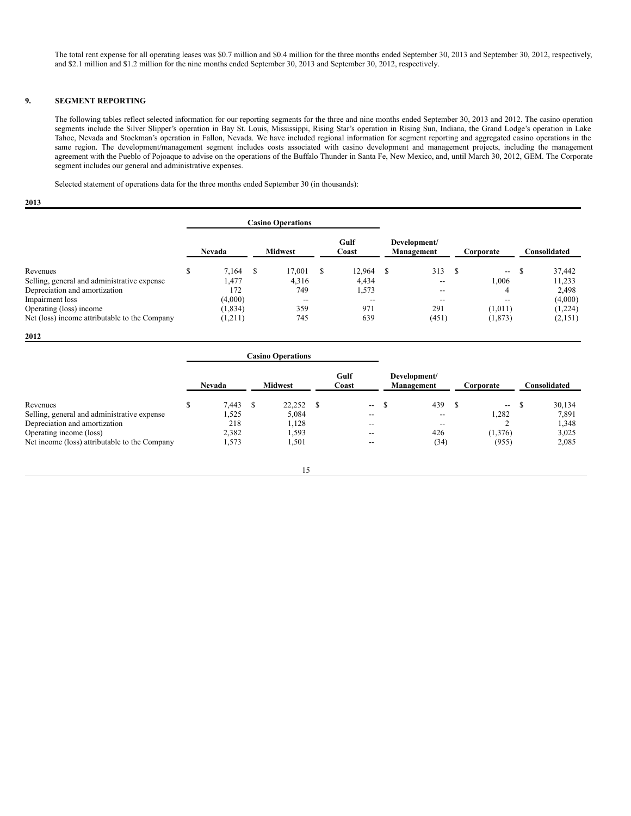The total rent expense for all operating leases was \$0.7 million and \$0.4 million for the three months ended September 30, 2013 and September 30, 2012, respectively, and \$2.1 million and \$1.2 million for the nine months ended September 30, 2013 and September 30, 2012, respectively.

## **9. SEGMENT REPORTING**

The following tables reflect selected information for our reporting segments for the three and nine months ended September 30, 2013 and 2012. The casino operation segments include the Silver Slipper's operation in Bay St. Louis, Mississippi, Rising Star's operation in Rising Sun, Indiana, the Grand Lodge's operation in Lake Tahoe, Nevada and Stockman's operation in Fallon, Nevada. We have included regional information for segment reporting and aggregated casino operations in the same region. The development/management segment includes costs associated with casino development and management projects, including the management agreement with the Pueblo of Pojoaque to advise on the operations of the Buffalo Thunder in Santa Fe, New Mexico, and, until March 30, 2012, GEM. The Corporate segment includes our general and administrative expenses.

Selected statement of operations data for the three months ended September 30 (in thousands):

## **2013**

|                                               |         | <b>Casino Operations</b> |   |               |      |                            |     |           |              |
|-----------------------------------------------|---------|--------------------------|---|---------------|------|----------------------------|-----|-----------|--------------|
|                                               | Nevada  | <b>Midwest</b>           |   | Gulf<br>Coast |      | Development/<br>Management |     | Corporate | Consolidated |
| Revenues                                      | 7.164   | 17.001                   | S | 12.964        | - \$ | 313                        | \$. | $- -$     | 37,442       |
| Selling, general and administrative expense   | 1.477   | 4.316                    |   | 4,434         |      | --                         |     | 1.006     | 11.233       |
| Depreciation and amortization                 | 172     | 749                      |   | 1,573         |      | --                         |     | 4         | 2,498        |
| Impairment loss                               | (4,000) | $- -$                    |   | $- -$         |      | --                         |     | --        | (4,000)      |
| Operating (loss) income                       | (1,834) | 359                      |   | 971           |      | 291                        |     | (1,011)   | (1,224)      |
| Net (loss) income attributable to the Company | (1,211) | 745                      |   | 639           |      | (451)                      |     | (1,873)   | (2,151)      |

**2012**

|       |               | <b>Midwest</b> |   | Gulf<br>Coast                                       |   |                                       | Corporate                  |    | Consolidated    |
|-------|---------------|----------------|---|-----------------------------------------------------|---|---------------------------------------|----------------------------|----|-----------------|
| 7.443 | - 75          | 22,252         | S | $\hspace{0.05cm} -\hspace{0.05cm} -\hspace{0.05cm}$ | S | 439                                   | $- -$                      | ъ. | 30,134          |
| 1,525 |               | 5,084          |   | $\overline{\phantom{m}}$                            |   | $\hspace{0.05cm}$ – $\hspace{0.05cm}$ | 1,282                      |    | 7,891           |
| 218   |               | 1.128          |   | $\overline{\phantom{a}}$                            |   | $- -$                                 |                            |    | 1,348           |
| 2,382 |               | .593           |   | $\overline{\phantom{a}}$                            |   | 426                                   |                            |    | 3,025           |
| 1,573 |               | 1,501          |   | $\overline{\phantom{m}}$                            |   |                                       | (955)                      |    | 2,085           |
|       | <b>Nevada</b> |                |   | <b>Casino Operations</b>                            |   |                                       | Development/<br>Management |    | (1,376)<br>(34) |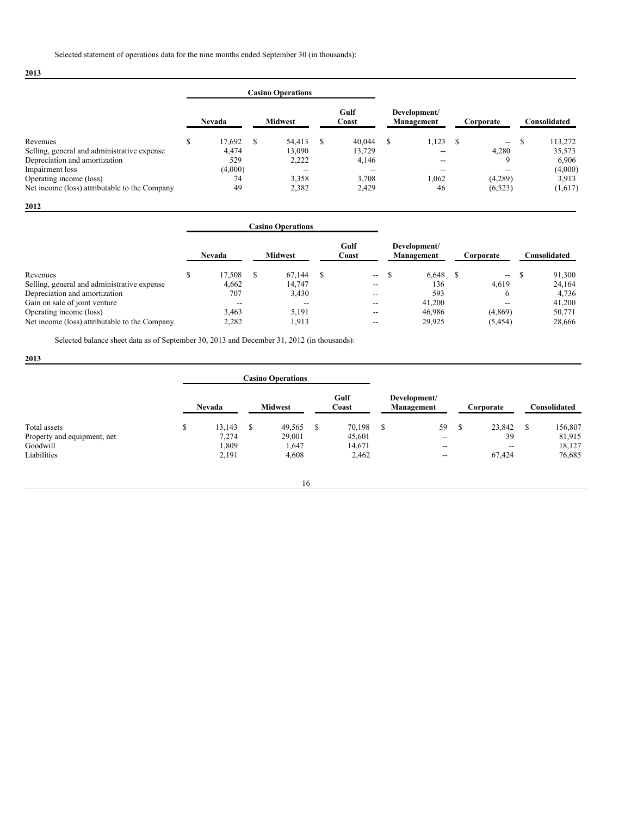|                                               |    |         |  | <b>Casino Operations</b> |   |               |  |                            |   |                          |  |              |
|-----------------------------------------------|----|---------|--|--------------------------|---|---------------|--|----------------------------|---|--------------------------|--|--------------|
|                                               |    | Nevada  |  | <b>Midwest</b>           |   | Gulf<br>Coast |  | Development/<br>Management |   | Corporate                |  | Consolidated |
| Revenues                                      | ۰٦ | 17,692  |  | 54.413                   | S | 40.044        |  | 1.123                      | S | $\overline{\phantom{a}}$ |  | 113,272      |
| Selling, general and administrative expense   |    | 4.474   |  | 13.090                   |   | 13.729        |  | $- -$                      |   | 4.280                    |  | 35.573       |
| Depreciation and amortization                 |    | 529     |  | 2,222                    |   | 4,146         |  | $- -$                      |   | Q                        |  | 6.906        |
| Impairment loss                               |    | (4,000) |  | $- -$                    |   | --            |  | --                         |   | --                       |  | (4,000)      |
| Operating income (loss)                       |    | 74      |  | 3,358                    |   | 3.708         |  | 1.062                      |   | (4,289)                  |  | 3,913        |
| Net income (loss) attributable to the Company |    | 49      |  | 2,382                    |   | 2,429         |  | 46                         |   | (6,523)                  |  | (1,617)      |

# **2012**

|                                               | <b>Casino Operations</b> |               |   |                |   |                          |  |                            |                                       |              |
|-----------------------------------------------|--------------------------|---------------|---|----------------|---|--------------------------|--|----------------------------|---------------------------------------|--------------|
|                                               |                          | <b>Nevada</b> |   | <b>Midwest</b> |   | Gulf<br>Coast            |  | Development/<br>Management | Corporate                             | Consolidated |
| Revenues                                      | D                        | 17.508        | S | 67.144         | S | $\overline{\phantom{a}}$ |  | 6.648                      | $\overline{\phantom{a}}$              | 91,300       |
| Selling, general and administrative expense   |                          | 4.662         |   | 14.747         |   | $\overline{\phantom{m}}$ |  | 136                        | 4.619                                 | 24,164       |
| Depreciation and amortization                 |                          | 707           |   | 3,430          |   | $- -$                    |  | 593                        | 6                                     | 4,736        |
| Gain on sale of joint venture                 |                          | $- -$         |   | --             |   | $\overline{\phantom{m}}$ |  | 41,200                     | $\hspace{0.05cm}$ – $\hspace{0.05cm}$ | 41,200       |
| Operating income (loss)                       |                          | 3.463         |   | 5.191          |   | $\overline{\phantom{m}}$ |  | 46.986                     | (4.869)                               | 50.771       |
| Net income (loss) attributable to the Company |                          | 2,282         |   | 1,913          |   | $- -$                    |  | 29,925                     | (5, 454)                              | 28,666       |

Selected balance sheet data as of September 30, 2013 and December 31, 2012 (in thousands):

|                             | <b>Casino Operations</b> |        |                |        |               |        |                            |                          |           |        |              |         |
|-----------------------------|--------------------------|--------|----------------|--------|---------------|--------|----------------------------|--------------------------|-----------|--------|--------------|---------|
|                             |                          | Nevada | <b>Midwest</b> |        | Gulf<br>Coast |        | Development/<br>Management |                          | Corporate |        | Consolidated |         |
| Total assets                |                          | 13,143 |                | 49,565 |               | 70,198 |                            | 59                       |           | 23.842 |              | 156,807 |
| Property and equipment, net |                          | 7,274  |                | 29,001 |               | 45,601 |                            | $- -$                    |           | 39     |              | 81,915  |
| Goodwill                    |                          | 1,809  |                | 1,647  |               | 14.671 |                            | $- -$                    |           | $- -$  |              | 18,127  |
| Liabilities                 |                          | 2,191  |                | 4,608  |               | 2,462  |                            | $\overline{\phantom{m}}$ |           | 67,424 |              | 76,685  |

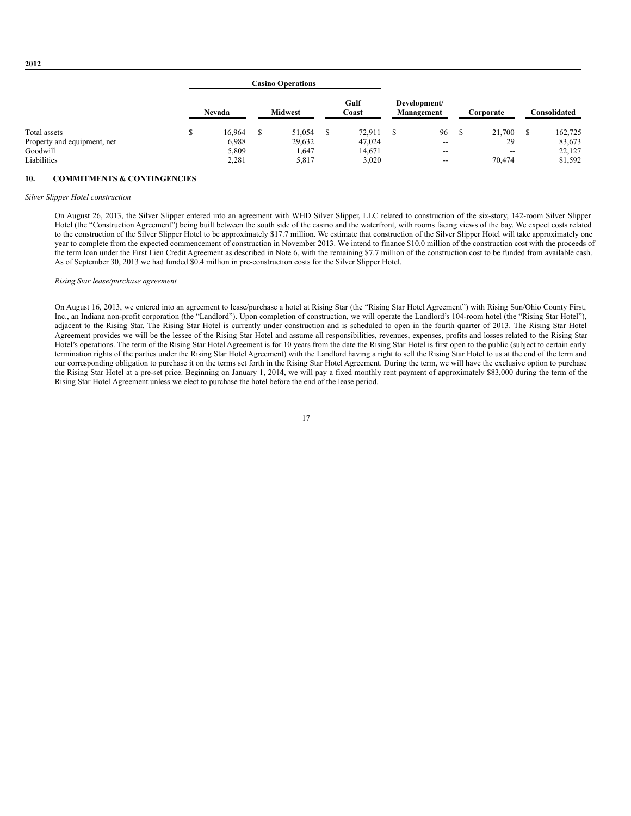|                             |               | <b>Casino Operations</b> |               |                            |                          |              |
|-----------------------------|---------------|--------------------------|---------------|----------------------------|--------------------------|--------------|
|                             | <b>Nevada</b> | <b>Midwest</b>           | Gulf<br>Coast | Development/<br>Management | Corporate                | Consolidated |
| Total assets                | 16.964        | 51.054                   | 72.911        | 96                         | 21,700                   | 162,725      |
| Property and equipment, net | 6,988         | 29,632                   | 47.024        | $\overline{\phantom{m}}$   | 29                       | 83,673       |
| Goodwill                    | 5.809         | 1,647                    | 14.671        | $- -$                      | $\overline{\phantom{a}}$ | 22,127       |
| Liabilities                 | 2,281         | 5,817                    | 3,020         | $- -$                      | 70,474                   | 81,592       |

#### **10. COMMITMENTS & CONTINGENCIES**

#### *Silver Slipper Hotel construction*

On August 26, 2013, the Silver Slipper entered into an agreement with WHD Silver Slipper, LLC related to construction of the six-story, 142-room Silver Slipper Hotel (the "Construction Agreement") being built between the south side of the casino and the waterfront, with rooms facing views of the bay. We expect costs related to the construction of the Silver Slipper Hotel to be approximately \$17.7 million. We estimate that construction of the Silver Slipper Hotel will take approximately one year to complete from the expected commencement of construction in November 2013. We intend to finance \$10.0 million of the construction cost with the proceeds of the term loan under the First Lien Credit Agreement as described in Note 6, with the remaining \$7.7 million of the construction cost to be funded from available cash. As of September 30, 2013 we had funded \$0.4 million in pre-construction costs for the Silver Slipper Hotel.

#### *Rising Star lease/purchase agreement*

On August 16, 2013, we entered into an agreement to lease/purchase a hotel at Rising Star (the "Rising Star Hotel Agreement") with Rising Sun/Ohio County First, Inc., an Indiana non-profit corporation (the "Landlord"). Upon completion of construction, we will operate the Landlord's 104-room hotel (the "Rising Star Hotel"), adjacent to the Rising Star. The Rising Star Hotel is currently under construction and is scheduled to open in the fourth quarter of 2013. The Rising Star Hotel Agreement provides we will be the lessee of the Rising Star Hotel and assume all responsibilities, revenues, expenses, profits and losses related to the Rising Star Hotel's operations. The term of the Rising Star Hotel Agreement is for 10 years from the date the Rising Star Hotel is first open to the public (subject to certain early termination rights of the parties under the Rising Star Hotel Agreement) with the Landlord having a right to sell the Rising Star Hotel to us at the end of the term and our corresponding obligation to purchase it on the terms set forth in the Rising Star Hotel Agreement. During the term, we will have the exclusive option to purchase the Rising Star Hotel at a pre-set price. Beginning on January 1, 2014, we will pay a fixed monthly rent payment of approximately \$83,000 during the term of the Rising Star Hotel Agreement unless we elect to purchase the hotel before the end of the lease period.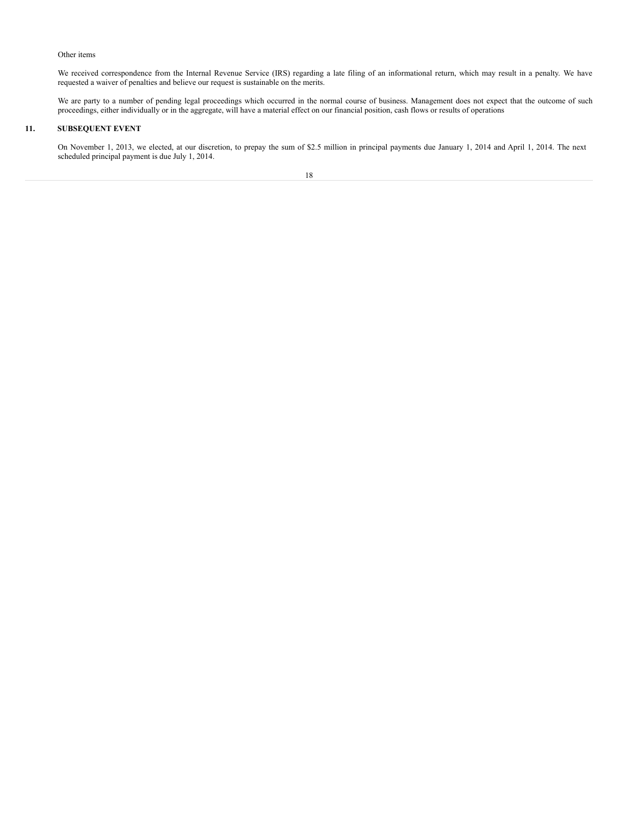## Other items

We received correspondence from the Internal Revenue Service (IRS) regarding a late filing of an informational return, which may result in a penalty. We have requested a waiver of penalties and believe our request is sustainable on the merits.

We are party to a number of pending legal proceedings which occurred in the normal course of business. Management does not expect that the outcome of such proceedings, either individually or in the aggregate, will have a material effect on our financial position, cash flows or results of operations

## **11. SUBSEQUENT EVENT**

On November 1, 2013, we elected, at our discretion, to prepay the sum of \$2.5 million in principal payments due January 1, 2014 and April 1, 2014. The next scheduled principal payment is due July 1, 2014.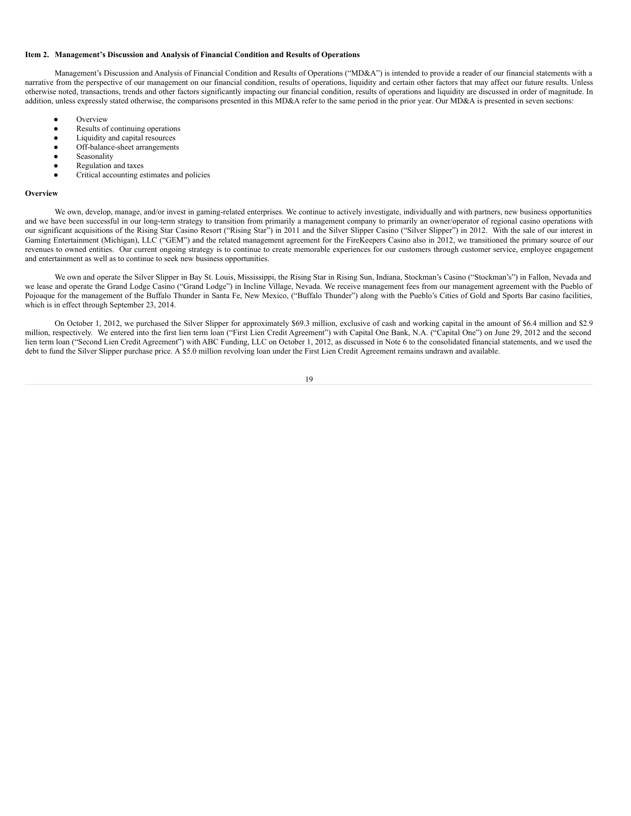## **Item 2. Management's Discussion and Analysis of Financial Condition and Results of Operations**

Management's Discussion and Analysis of Financial Condition and Results of Operations ("MD&A") is intended to provide a reader of our financial statements with a narrative from the perspective of our management on our financial condition, results of operations, liquidity and certain other factors that may affect our future results. Unless otherwise noted, transactions, trends and other factors significantly impacting our financial condition, results of operations and liquidity are discussed in order of magnitude. In addition, unless expressly stated otherwise, the comparisons presented in this MD&A refer to the same period in the prior year. Our MD&A is presented in seven sections:

- **Overview**
- Results of continuing operations
- Liquidity and capital resources
- Off-balance-sheet arrangements
- Seasonality
- Regulation and taxes
- Critical accounting estimates and policies

#### **Overview**

We own, develop, manage, and/or invest in gaming-related enterprises. We continue to actively investigate, individually and with partners, new business opportunities and we have been successful in our long-term strategy to transition from primarily a management company to primarily an owner/operator of regional casino operations with our significant acquisitions of the Rising Star Casino Resort ("Rising Star") in 2011 and the Silver Slipper Casino ("Silver Slipper") in 2012. With the sale of our interest in Gaming Entertainment (Michigan), LLC ("GEM") and the related management agreement for the FireKeepers Casino also in 2012, we transitioned the primary source of our revenues to owned entities. Our current ongoing strategy is to continue to create memorable experiences for our customers through customer service, employee engagement and entertainment as well as to continue to seek new business opportunities.

We own and operate the Silver Slipper in Bay St. Louis, Mississippi, the Rising Star in Rising Sun, Indiana, Stockman's Casino ("Stockman's") in Fallon, Nevada and we lease and operate the Grand Lodge Casino ("Grand Lodge") in Incline Village, Nevada. We receive management fees from our management agreement with the Pueblo of Pojoaque for the management of the Buffalo Thunder in Santa Fe, New Mexico, ("Buffalo Thunder") along with the Pueblo's Cities of Gold and Sports Bar casino facilities, which is in effect through September 23, 2014.

On October 1, 2012, we purchased the Silver Slipper for approximately \$69.3 million, exclusive of cash and working capital in the amount of \$6.4 million and \$2.9 million, respectively. We entered into the first lien term loan ("First Lien Credit Agreement") with Capital One Bank, N.A. ("Capital One") on June 29, 2012 and the second lien term loan ("Second Lien Credit Agreement") with ABC Funding, LLC on October 1, 2012, as discussed in Note 6 to the consolidated financial statements, and we used the debt to fund the Silver Slipper purchase price. A \$5.0 million revolving loan under the First Lien Credit Agreement remains undrawn and available.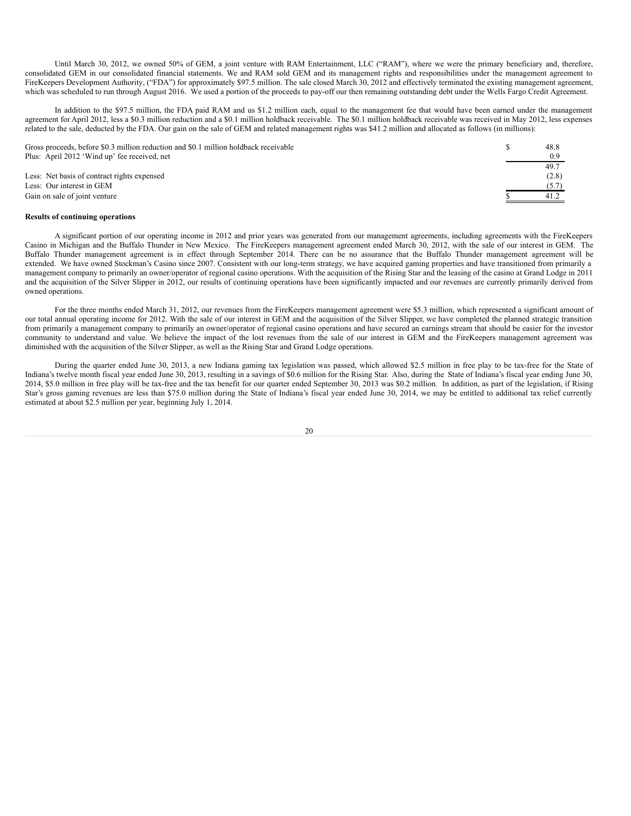Until March 30, 2012, we owned 50% of GEM, a joint venture with RAM Entertainment, LLC ("RAM"), where we were the primary beneficiary and, therefore, consolidated GEM in our consolidated financial statements. We and RAM sold GEM and its management rights and responsibilities under the management agreement to FireKeepers Development Authority, ("FDA") for approximately \$97.5 million. The sale closed March 30, 2012 and effectively terminated the existing management agreement, which was scheduled to run through August 2016. We used a portion of the proceeds to pay-off our then remaining outstanding debt under the Wells Fargo Credit Agreement.

In addition to the \$97.5 million, the FDA paid RAM and us \$1.2 million each, equal to the management fee that would have been earned under the management agreement for April 2012, less a \$0.3 million reduction and a \$0.1 million holdback receivable. The \$0.1 million holdback receivable was received in May 2012, less expenses related to the sale, deducted by the FDA. Our gain on the sale of GEM and related management rights was \$41.2 million and allocated as follows (in millions):

| Gross proceeds, before \$0.3 million reduction and \$0.1 million holdback receivable | 48.8  |
|--------------------------------------------------------------------------------------|-------|
| Plus: April 2012 'Wind up' fee received, net                                         | 0.9   |
|                                                                                      | 49.7  |
| Less: Net basis of contract rights expensed                                          | (2.8) |
| Less: Our interest in GEM                                                            |       |
| Gain on sale of joint venture                                                        | 41.2  |
|                                                                                      |       |

#### **Results of continuing operations**

A significant portion of our operating income in 2012 and prior years was generated from our management agreements, including agreements with the FireKeepers Casino in Michigan and the Buffalo Thunder in New Mexico. The FireKeepers management agreement ended March 30, 2012, with the sale of our interest in GEM. The Buffalo Thunder management agreement is in effect through September 2014. There can be no assurance that the Buffalo Thunder management agreement will be extended. We have owned Stockman's Casino since 2007. Consistent with our long-term strategy, we have acquired gaming properties and have transitioned from primarily a management company to primarily an owner/operator of regional casino operations. With the acquisition of the Rising Star and the leasing of the casino at Grand Lodge in 2011 and the acquisition of the Silver Slipper in 2012, our results of continuing operations have been significantly impacted and our revenues are currently primarily derived from owned operations.

For the three months ended March 31, 2012, our revenues from the FireKeepers management agreement were \$5.3 million, which represented a significant amount of our total annual operating income for 2012. With the sale of our interest in GEM and the acquisition of the Silver Slipper, we have completed the planned strategic transition from primarily a management company to primarily an owner/operator of regional casino operations and have secured an earnings stream that should be easier for the investor community to understand and value. We believe the impact of the lost revenues from the sale of our interest in GEM and the FireKeepers management agreement was diminished with the acquisition of the Silver Slipper, as well as the Rising Star and Grand Lodge operations.

During the quarter ended June 30, 2013, a new Indiana gaming tax legislation was passed, which allowed \$2.5 million in free play to be tax-free for the State of Indiana's twelve month fiscal year ended June 30, 2013, resulting in a savings of \$0.6 million for the Rising Star. Also, during the State of Indiana's fiscal year ending June 30, 2014, \$5.0 million in free play will be tax-free and the tax benefit for our quarter ended September 30, 2013 was \$0.2 million. In addition, as part of the legislation, if Rising Star's gross gaming revenues are less than \$75.0 million during the State of Indiana's fiscal year ended June 30, 2014, we may be entitled to additional tax relief currently estimated at about \$2.5 million per year, beginning July 1, 2014.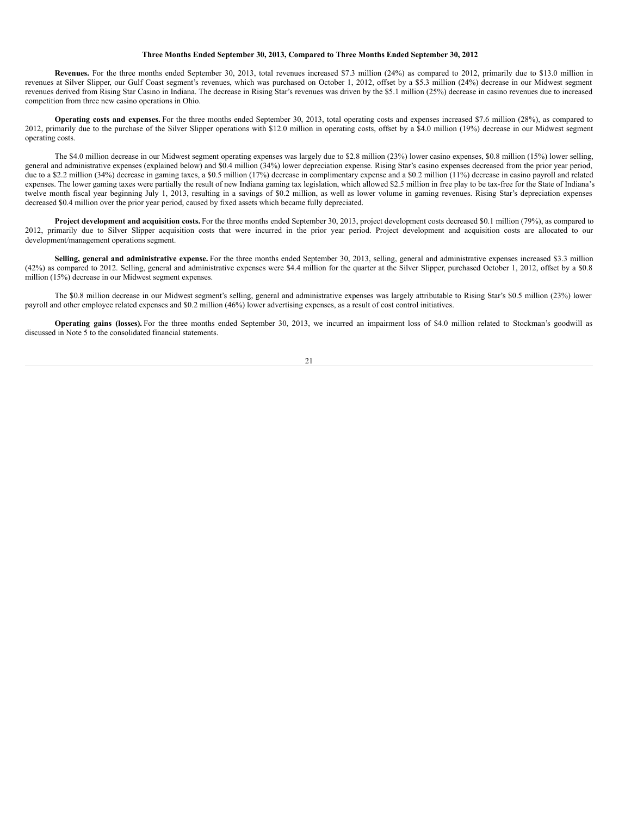## **Three Months Ended September 30, 2013, Compared to Three Months Ended September 30, 2012**

**Revenues.** For the three months ended September 30, 2013, total revenues increased \$7.3 million (24%) as compared to 2012, primarily due to \$13.0 million in revenues at Silver Slipper, our Gulf Coast segment's revenues, which was purchased on October 1, 2012, offset by a \$5.3 million (24%) decrease in our Midwest segment revenues derived from Rising Star Casino in Indiana. The decrease in Rising Star's revenues was driven by the \$5.1 million (25%) decrease in casino revenues due to increased competition from three new casino operations in Ohio.

**Operating costs and expenses.** For the three months ended September 30, 2013, total operating costs and expenses increased \$7.6 million (28%), as compared to 2012, primarily due to the purchase of the Silver Slipper operations with \$12.0 million in operating costs, offset by a \$4.0 million (19%) decrease in our Midwest segment operating costs.

The \$4.0 million decrease in our Midwest segment operating expenses was largely due to \$2.8 million (23%) lower casino expenses, \$0.8 million (15%) lower selling, general and administrative expenses (explained below) and \$0.4 million (34%) lower depreciation expense. Rising Star's casino expenses decreased from the prior year period, due to a \$2.2 million (34%) decrease in gaming taxes, a \$0.5 million (17%) decrease in complimentary expense and a \$0.2 million (11%) decrease in casino payroll and related expenses. The lower gaming taxes were partially the result of new Indiana gaming tax legislation, which allowed \$2.5 million in free play to be tax-free for the State of Indiana's twelve month fiscal year beginning July 1, 2013, resulting in a savings of \$0.2 million, as well as lower volume in gaming revenues. Rising Star's depreciation expenses decreased \$0.4 million over the prior year period, caused by fixed assets which became fully depreciated.

**Project development and acquisition costs.** For the three months ended September 30, 2013, project development costs decreased \$0.1 million (79%), as compared to 2012, primarily due to Silver Slipper acquisition costs that were incurred in the prior year period. Project development and acquisition costs are allocated to our development/management operations segment.

**Selling, general and administrative expense.** For the three months ended September 30, 2013, selling, general and administrative expenses increased \$3.3 million (42%) as compared to 2012. Selling, general and administrative expenses were \$4.4 million for the quarter at the Silver Slipper, purchased October 1, 2012, offset by a \$0.8 million (15%) decrease in our Midwest segment expenses.

The \$0.8 million decrease in our Midwest segment's selling, general and administrative expenses was largely attributable to Rising Star's \$0.5 million (23%) lower payroll and other employee related expenses and \$0.2 million (46%) lower advertising expenses, as a result of cost control initiatives.

**Operating gains (losses).** For the three months ended September 30, 2013, we incurred an impairment loss of \$4.0 million related to Stockman's goodwill as discussed in Note 5 to the consolidated financial statements.

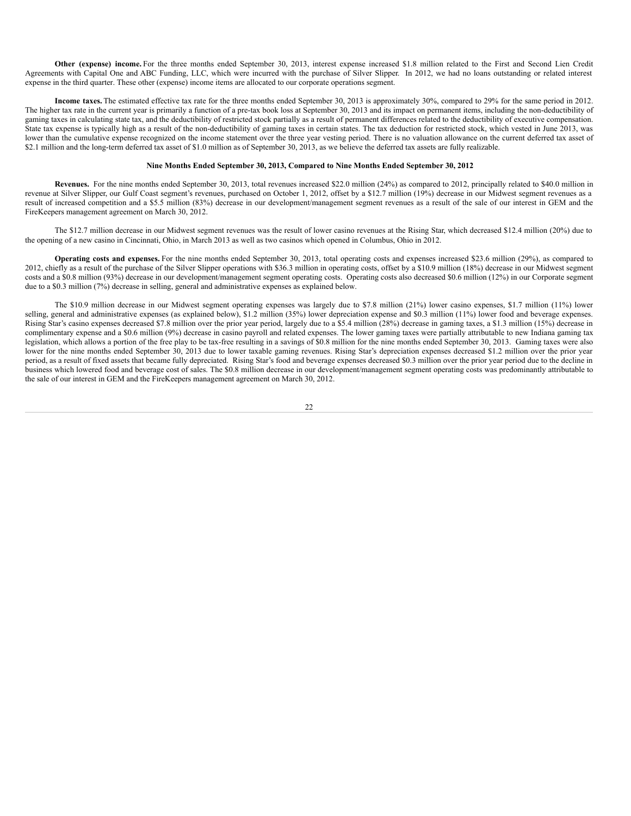**Other (expense) income.** For the three months ended September 30, 2013, interest expense increased \$1.8 million related to the First and Second Lien Credit Agreements with Capital One and ABC Funding, LLC, which were incurred with the purchase of Silver Slipper. In 2012, we had no loans outstanding or related interest expense in the third quarter. These other (expense) income items are allocated to our corporate operations segment.

**Income taxes.** The estimated effective tax rate for the three months ended September 30, 2013 is approximately 30%, compared to 29% for the same period in 2012. The higher tax rate in the current year is primarily a function of a pre-tax book loss at September 30, 2013 and its impact on permanent items, including the non-deductibility of gaming taxes in calculating state tax, and the deductibility of restricted stock partially as a result of permanent differences related to the deductibility of executive compensation. State tax expense is typically high as a result of the non-deductibility of gaming taxes in certain states. The tax deduction for restricted stock, which vested in June 2013, was lower than the cumulative expense recognized on the income statement over the three year vesting period. There is no valuation allowance on the current deferred tax asset of \$2.1 million and the long-term deferred tax asset of \$1.0 million as of September 30, 2013, as we believe the deferred tax assets are fully realizable.

## **Nine Months Ended September 30, 2013, Compared to Nine Months Ended September 30, 2012**

**Revenues.** For the nine months ended September 30, 2013, total revenues increased \$22.0 million (24%) as compared to 2012, principally related to \$40.0 million in revenue at Silver Slipper, our Gulf Coast segment's revenues, purchased on October 1, 2012, offset by a \$12.7 million (19%) decrease in our Midwest segment revenues as a result of increased competition and a \$5.5 million (83%) decrease in our development/management segment revenues as a result of the sale of our interest in GEM and the FireKeepers management agreement on March 30, 2012.

The \$12.7 million decrease in our Midwest segment revenues was the result of lower casino revenues at the Rising Star, which decreased \$12.4 million (20%) due to the opening of a new casino in Cincinnati, Ohio, in March 2013 as well as two casinos which opened in Columbus, Ohio in 2012.

**Operating costs and expenses.** For the nine months ended September 30, 2013, total operating costs and expenses increased \$23.6 million (29%), as compared to 2012, chiefly as a result of the purchase of the Silver Slipper operations with \$36.3 million in operating costs, offset by a \$10.9 million (18%) decrease in our Midwest segment costs and a \$0.8 million (93%) decrease in our development/management segment operating costs. Operating costs also decreased \$0.6 million (12%) in our Corporate segment due to a \$0.3 million (7%) decrease in selling, general and administrative expenses as explained below.

The \$10.9 million decrease in our Midwest segment operating expenses was largely due to \$7.8 million (21%) lower casino expenses, \$1.7 million (11%) lower selling, general and administrative expenses (as explained below), \$1.2 million (35%) lower depreciation expense and \$0.3 million (11%) lower food and beverage expenses. Rising Star's casino expenses decreased \$7.8 million over the prior year period, largely due to a \$5.4 million (28%) decrease in gaming taxes, a \$1.3 million (15%) decrease in complimentary expense and a \$0.6 million (9%) decrease in casino payroll and related expenses. The lower gaming taxes were partially attributable to new Indiana gaming tax legislation, which allows a portion of the free play to be tax-free resulting in a savings of \$0.8 million for the nine months ended September 30, 2013. Gaming taxes were also lower for the nine months ended September 30, 2013 due to lower taxable gaming revenues. Rising Star's depreciation expenses decreased \$1.2 million over the prior year period, as a result of fixed assets that became fully depreciated. Rising Star's food and beverage expenses decreased \$0.3 million over the prior year period due to the decline in business which lowered food and beverage cost of sales. The \$0.8 million decrease in our development/management segment operating costs was predominantly attributable to the sale of our interest in GEM and the FireKeepers management agreement on March 30, 2012.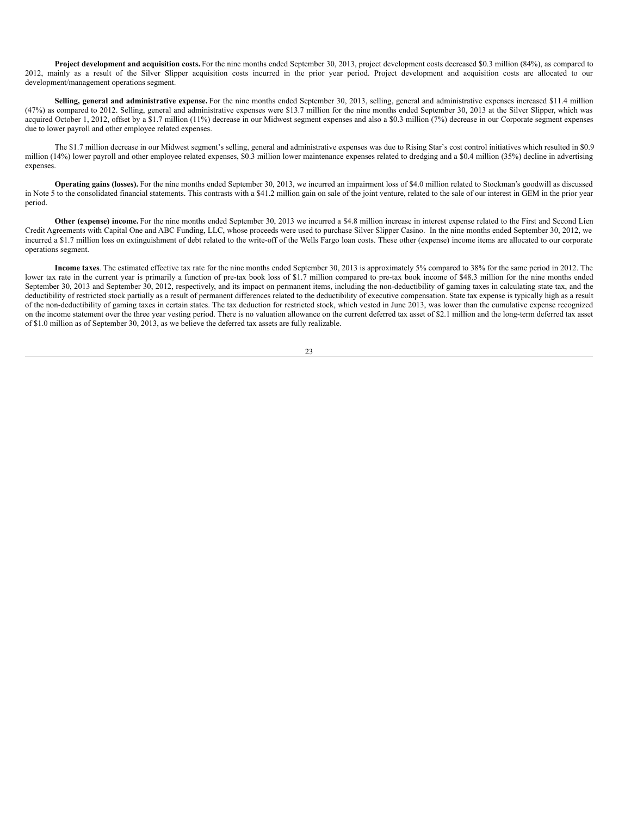**Project development and acquisition costs.** For the nine months ended September 30, 2013, project development costs decreased \$0.3 million (84%), as compared to 2012, mainly as a result of the Silver Slipper acquisition costs incurred in the prior year period. Project development and acquisition costs are allocated to our development/management operations segment.

**Selling, general and administrative expense.** For the nine months ended September 30, 2013, selling, general and administrative expenses increased \$11.4 million (47%) as compared to 2012. Selling, general and administrative expenses were \$13.7 million for the nine months ended September 30, 2013 at the Silver Slipper, which was acquired October 1, 2012, offset by a \$1.7 million (11%) decrease in our Midwest segment expenses and also a \$0.3 million (7%) decrease in our Corporate segment expenses due to lower payroll and other employee related expenses.

The \$1.7 million decrease in our Midwest segment's selling, general and administrative expenses was due to Rising Star's cost control initiatives which resulted in \$0.9 million (14%) lower payroll and other employee related expenses, \$0.3 million lower maintenance expenses related to dredging and a \$0.4 million (35%) decline in advertising expenses.

**Operating gains (losses).** For the nine months ended September 30, 2013, we incurred an impairment loss of \$4.0 million related to Stockman's goodwill as discussed in Note 5 to the consolidated financial statements. This contrasts with a \$41.2 million gain on sale of the joint venture, related to the sale of our interest in GEM in the prior year period.

**Other (expense) income.** For the nine months ended September 30, 2013 we incurred a \$4.8 million increase in interest expense related to the First and Second Lien Credit Agreements with Capital One and ABC Funding, LLC, whose proceeds were used to purchase Silver Slipper Casino. In the nine months ended September 30, 2012, we incurred a \$1.7 million loss on extinguishment of debt related to the write-off of the Wells Fargo loan costs. These other (expense) income items are allocated to our corporate operations segment.

**Income taxes**. The estimated effective tax rate for the nine months ended September 30, 2013 is approximately 5% compared to 38% for the same period in 2012. The lower tax rate in the current year is primarily a function of pre-tax book loss of \$1.7 million compared to pre-tax book income of \$48.3 million for the nine months ended September 30, 2013 and September 30, 2012, respectively, and its impact on permanent items, including the non-deductibility of gaming taxes in calculating state tax, and the deductibility of restricted stock partially as a result of permanent differences related to the deductibility of executive compensation. State tax expense is typically high as a result of the non-deductibility of gaming taxes in certain states. The tax deduction for restricted stock, which vested in June 2013, was lower than the cumulative expense recognized on the income statement over the three year vesting period. There is no valuation allowance on the current deferred tax asset of \$2.1 million and the long-term deferred tax asset of \$1.0 million as of September 30, 2013, as we believe the deferred tax assets are fully realizable.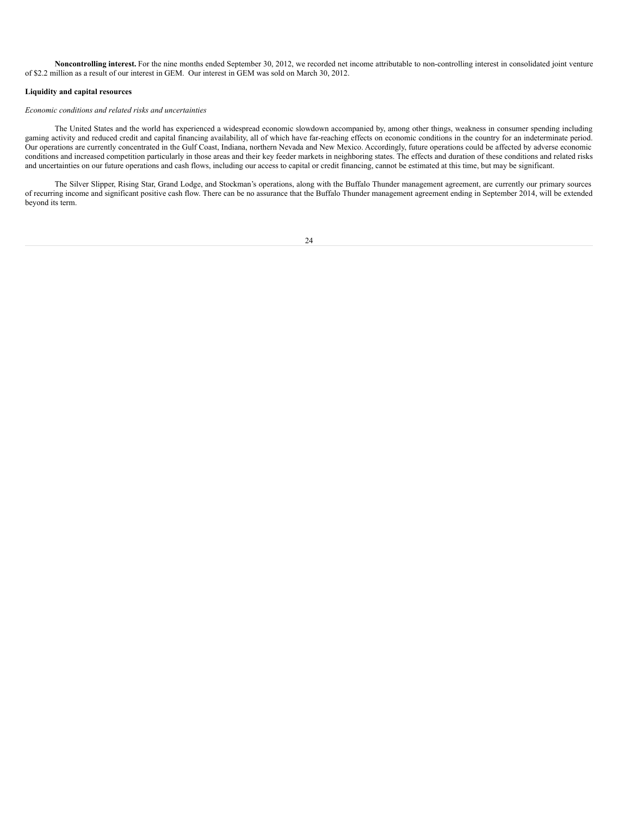**Noncontrolling interest.** For the nine months ended September 30, 2012, we recorded net income attributable to non-controlling interest in consolidated joint venture of \$2.2 million as a result of our interest in GEM. Our interest in GEM was sold on March 30, 2012.

## **Liquidity and capital resources**

## *Economic conditions and related risks and uncertainties*

The United States and the world has experienced a widespread economic slowdown accompanied by, among other things, weakness in consumer spending including gaming activity and reduced credit and capital financing availability, all of which have far-reaching effects on economic conditions in the country for an indeterminate period. Our operations are currently concentrated in the Gulf Coast, Indiana, northern Nevada and New Mexico. Accordingly, future operations could be affected by adverse economic conditions and increased competition particularly in those areas and their key feeder markets in neighboring states. The effects and duration of these conditions and related risks and uncertainties on our future operations and cash flows, including our access to capital or credit financing, cannot be estimated at this time, but may be significant.

The Silver Slipper, Rising Star, Grand Lodge, and Stockman's operations, along with the Buffalo Thunder management agreement, are currently our primary sources of recurring income and significant positive cash flow. There can be no assurance that the Buffalo Thunder management agreement ending in September 2014, will be extended beyond its term.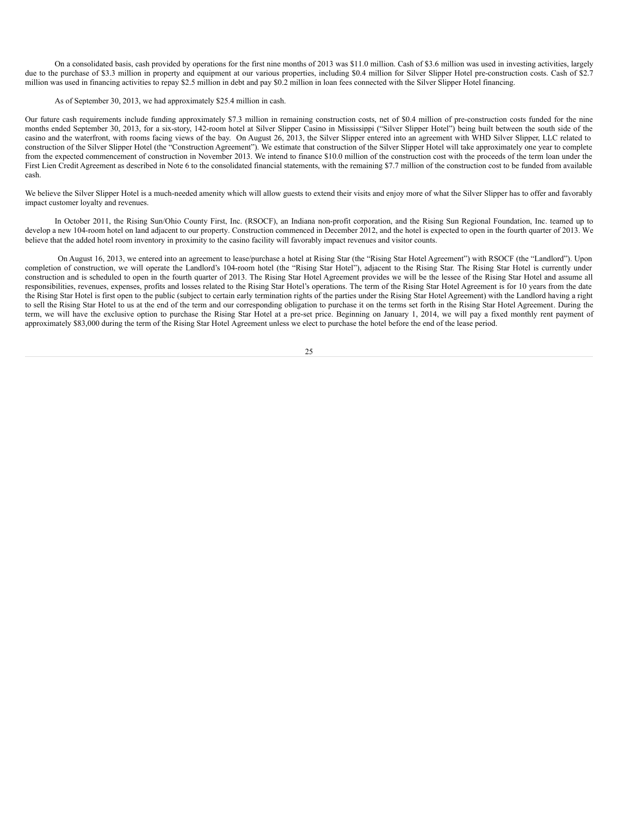On a consolidated basis, cash provided by operations for the first nine months of 2013 was \$11.0 million. Cash of \$3.6 million was used in investing activities, largely due to the purchase of \$3.3 million in property and equipment at our various properties, including \$0.4 million for Silver Slipper Hotel pre-construction costs. Cash of \$2.7 million was used in financing activities to repay \$2.5 million in debt and pay \$0.2 million in loan fees connected with the Silver Slipper Hotel financing.

## As of September 30, 2013, we had approximately \$25.4 million in cash.

Our future cash requirements include funding approximately \$7.3 million in remaining construction costs, net of \$0.4 million of pre-construction costs funded for the nine months ended September 30, 2013, for a six-story, 142-room hotel at Silver Slipper Casino in Mississippi ("Silver Slipper Hotel") being built between the south side of the casino and the waterfront, with rooms facing views of the bay. On August 26, 2013, the Silver Slipper entered into an agreement with WHD Silver Slipper, LLC related to construction of the Silver Slipper Hotel (the "Construction Agreement"). We estimate that construction of the Silver Slipper Hotel will take approximately one year to complete from the expected commencement of construction in November 2013. We intend to finance \$10.0 million of the construction cost with the proceeds of the term loan under the First Lien Credit Agreement as described in Note 6 to the consolidated financial statements, with the remaining \$7.7 million of the construction cost to be funded from available cash.

We believe the Silver Slipper Hotel is a much-needed amenity which will allow guests to extend their visits and enjoy more of what the Silver Slipper has to offer and favorably impact customer loyalty and revenues.

In October 2011, the Rising Sun/Ohio County First, Inc. (RSOCF), an Indiana non-profit corporation, and the Rising Sun Regional Foundation, Inc. teamed up to develop a new 104-room hotel on land adjacent to our property. Construction commenced in December 2012, and the hotel is expected to open in the fourth quarter of 2013. We believe that the added hotel room inventory in proximity to the casino facility will favorably impact revenues and visitor counts.

On August 16, 2013, we entered into an agreement to lease/purchase a hotel at Rising Star (the "Rising Star Hotel Agreement") with RSOCF (the "Landlord"). Upon completion of construction, we will operate the Landlord's 104-room hotel (the "Rising Star Hotel"), adjacent to the Rising Star. The Rising Star Hotel is currently under construction and is scheduled to open in the fourth quarter of 2013. The Rising Star Hotel Agreement provides we will be the lessee of the Rising Star Hotel and assume all responsibilities, revenues, expenses, profits and losses related to the Rising Star Hotel's operations. The term of the Rising Star Hotel Agreement is for 10 years from the date the Rising Star Hotel is first open to the public (subject to certain early termination rights of the parties under the Rising Star Hotel Agreement) with the Landlord having a right to sell the Rising Star Hotel to us at the end of the term and our corresponding obligation to purchase it on the terms set forth in the Rising Star Hotel Agreement. During the term, we will have the exclusive option to purchase the Rising Star Hotel at a pre-set price. Beginning on January 1, 2014, we will pay a fixed monthly rent payment of approximately \$83,000 during the term of the Rising Star Hotel Agreement unless we elect to purchase the hotel before the end of the lease period.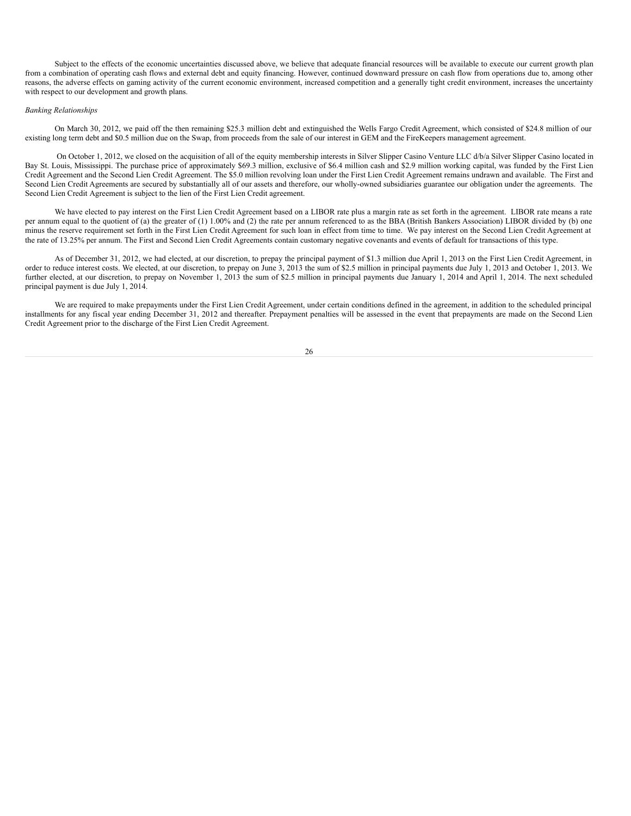Subject to the effects of the economic uncertainties discussed above, we believe that adequate financial resources will be available to execute our current growth plan from a combination of operating cash flows and external debt and equity financing. However, continued downward pressure on cash flow from operations due to, among other reasons, the adverse effects on gaming activity of the current economic environment, increased competition and a generally tight credit environment, increases the uncertainty with respect to our development and growth plans.

#### *Banking Relationships*

On March 30, 2012, we paid off the then remaining \$25.3 million debt and extinguished the Wells Fargo Credit Agreement, which consisted of \$24.8 million of our existing long term debt and \$0.5 million due on the Swap, from proceeds from the sale of our interest in GEM and the FireKeepers management agreement.

On October 1, 2012, we closed on the acquisition of all of the equity membership interests in Silver Slipper Casino Venture LLC d/b/a Silver Slipper Casino located in Bay St. Louis, Mississippi. The purchase price of approximately \$69.3 million, exclusive of \$6.4 million cash and \$2.9 million working capital, was funded by the First Lien Credit Agreement and the Second Lien Credit Agreement. The \$5.0 million revolving loan under the First Lien Credit Agreement remains undrawn and available. The First and Second Lien Credit Agreements are secured by substantially all of our assets and therefore, our wholly-owned subsidiaries guarantee our obligation under the agreements. The Second Lien Credit Agreement is subject to the lien of the First Lien Credit agreement.

We have elected to pay interest on the First Lien Credit Agreement based on a LIBOR rate plus a margin rate as set forth in the agreement. LIBOR rate means a rate per annum equal to the quotient of (a) the greater of (1) 1.00% and (2) the rate per annum referenced to as the BBA (British Bankers Association) LIBOR divided by (b) one minus the reserve requirement set forth in the First Lien Credit Agreement for such loan in effect from time to time. We pay interest on the Second Lien Credit Agreement at the rate of 13.25% per annum. The First and Second Lien Credit Agreements contain customary negative covenants and events of default for transactions of this type.

As of December 31, 2012, we had elected, at our discretion, to prepay the principal payment of \$1.3 million due April 1, 2013 on the First Lien Credit Agreement, in order to reduce interest costs. We elected, at our discretion, to prepay on June 3, 2013 the sum of \$2.5 million in principal payments due July 1, 2013 and October 1, 2013. We further elected, at our discretion, to prepay on November 1, 2013 the sum of \$2.5 million in principal payments due January 1, 2014 and April 1, 2014. The next scheduled principal payment is due July 1, 2014.

We are required to make prepayments under the First Lien Credit Agreement, under certain conditions defined in the agreement, in addition to the scheduled principal installments for any fiscal year ending December 31, 2012 and thereafter. Prepayment penalties will be assessed in the event that prepayments are made on the Second Lien Credit Agreement prior to the discharge of the First Lien Credit Agreement.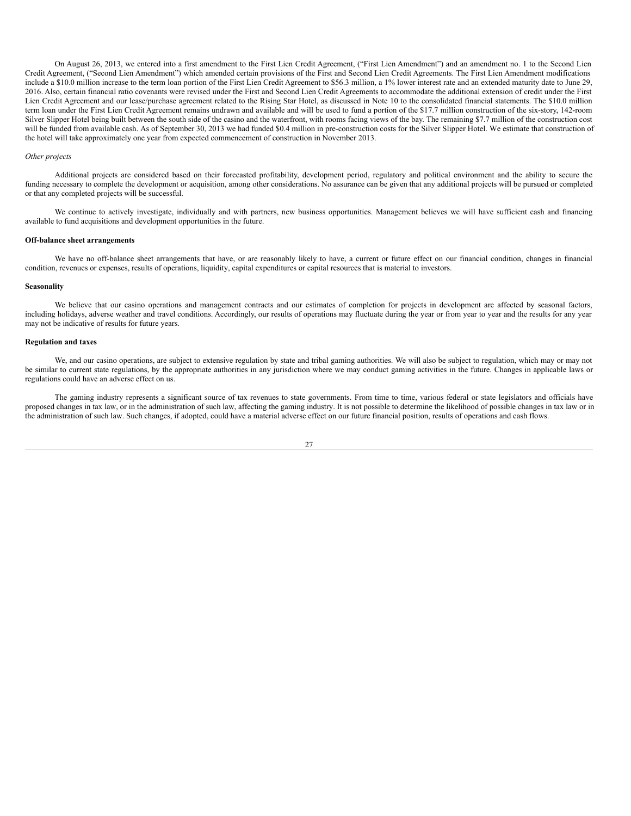On August 26, 2013, we entered into a first amendment to the First Lien Credit Agreement, ("First Lien Amendment") and an amendment no. 1 to the Second Lien Credit Agreement, ("Second Lien Amendment") which amended certain provisions of the First and Second Lien Credit Agreements. The First Lien Amendment modifications include a \$10.0 million increase to the term loan portion of the First Lien Credit Agreement to \$56.3 million, a 1% lower interest rate and an extended maturity date to June 29, 2016. Also, certain financial ratio covenants were revised under the First and Second Lien Credit Agreements to accommodate the additional extension of credit under the First Lien Credit Agreement and our lease/purchase agreement related to the Rising Star Hotel, as discussed in Note 10 to the consolidated financial statements. The \$10.0 million term loan under the First Lien Credit Agreement remains undrawn and available and will be used to fund a portion of the \$17.7 million construction of the six-story, 142-room Silver Slipper Hotel being built between the south side of the casino and the waterfront, with rooms facing views of the bay. The remaining \$7.7 million of the construction cost will be funded from available cash. As of September 30, 2013 we had funded \$0.4 million in pre-construction costs for the Silver Slipper Hotel. We estimate that construction of the hotel will take approximately one year from expected commencement of construction in November 2013.

#### *Other projects*

Additional projects are considered based on their forecasted profitability, development period, regulatory and political environment and the ability to secure the funding necessary to complete the development or acquisition, among other considerations. No assurance can be given that any additional projects will be pursued or completed or that any completed projects will be successful.

We continue to actively investigate, individually and with partners, new business opportunities. Management believes we will have sufficient cash and financing available to fund acquisitions and development opportunities in the future.

## **Off-balance sheet arrangements**

We have no off-balance sheet arrangements that have, or are reasonably likely to have, a current or future effect on our financial condition, changes in financial condition, revenues or expenses, results of operations, liquidity, capital expenditures or capital resources that is material to investors.

#### **Seasonality**

We believe that our casino operations and management contracts and our estimates of completion for projects in development are affected by seasonal factors, including holidays, adverse weather and travel conditions. Accordingly, our results of operations may fluctuate during the year or from year to year and the results for any year may not be indicative of results for future years.

#### **Regulation and taxes**

We, and our casino operations, are subject to extensive regulation by state and tribal gaming authorities. We will also be subject to regulation, which may or may not be similar to current state regulations, by the appropriate authorities in any jurisdiction where we may conduct gaming activities in the future. Changes in applicable laws or regulations could have an adverse effect on us.

The gaming industry represents a significant source of tax revenues to state governments. From time to time, various federal or state legislators and officials have proposed changes in tax law, or in the administration of such law, affecting the gaming industry. It is not possible to determine the likelihood of possible changes in tax law or in the administration of such law. Such changes, if adopted, could have a material adverse effect on our future financial position, results of operations and cash flows.

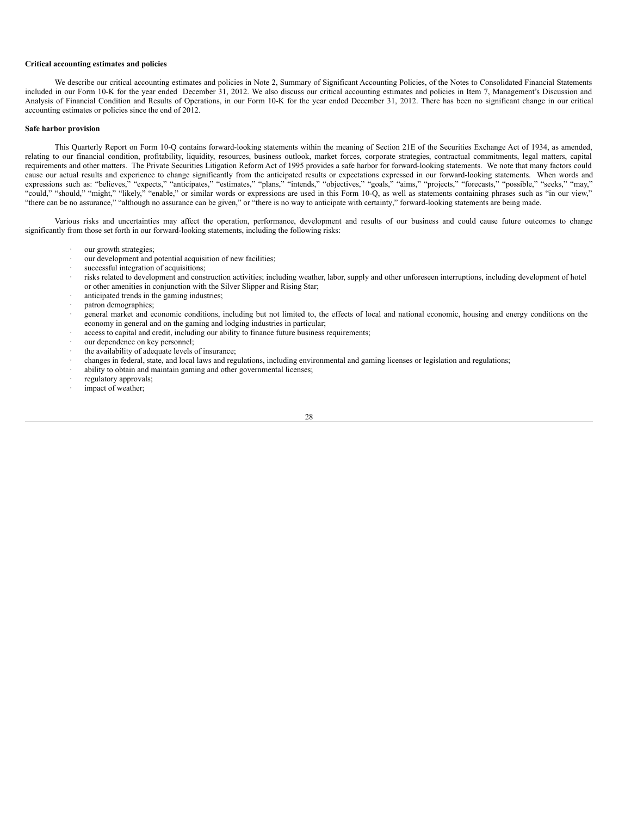## **Critical accounting estimates and policies**

We describe our critical accounting estimates and policies in Note 2, Summary of Significant Accounting Policies, of the Notes to Consolidated Financial Statements included in our Form 10-K for the year ended December 31, 2012. We also discuss our critical accounting estimates and policies in Item 7, Management's Discussion and Analysis of Financial Condition and Results of Operations, in our Form 10-K for the year ended December 31, 2012. There has been no significant change in our critical accounting estimates or policies since the end of 2012.

## **Safe harbor provision**

This Quarterly Report on Form 10-Q contains forward-looking statements within the meaning of Section 21E of the Securities Exchange Act of 1934, as amended, relating to our financial condition, profitability, liquidity, resources, business outlook, market forces, corporate strategies, contractual commitments, legal matters, capital requirements and other matters. The Private Securities Litigation Reform Act of 1995 provides a safe harbor for forward-looking statements. We note that many factors could cause our actual results and experience to change significantly from the anticipated results or expectations expressed in our forward-looking statements. When words and expressions such as: "believes," "expects," "anticipates," "estimates," "plans," "intends," "objectives," "goals," "aims," "projects," "forecasts," "possible," "seeks," "may," "could," "should," "might," "likely," "enable," or similar words or expressions are used in this Form 10-Q, as well as statements containing phrases such as "in our view," "there can be no assurance," "although no assurance can be given," or "there is no way to anticipate with certainty," forward-looking statements are being made.

Various risks and uncertainties may affect the operation, performance, development and results of our business and could cause future outcomes to change significantly from those set forth in our forward-looking statements, including the following risks:

- our growth strategies;
- our development and potential acquisition of new facilities;
- successful integration of acquisitions;
- · risks related to development and construction activities; including weather, labor, supply and other unforeseen interruptions, including development of hotel or other amenities in conjunction with the Silver Slipper and Rising Star;
- anticipated trends in the gaming industries;
- patron demographics;
- · general market and economic conditions, including but not limited to, the effects of local and national economic, housing and energy conditions on the economy in general and on the gaming and lodging industries in particular;
- access to capital and credit, including our ability to finance future business requirements;
- our dependence on key personnel;
- the availability of adequate levels of insurance;
- · changes in federal, state, and local laws and regulations, including environmental and gaming licenses or legislation and regulations;
- ability to obtain and maintain gaming and other governmental licenses;
- regulatory approvals;
- impact of weather;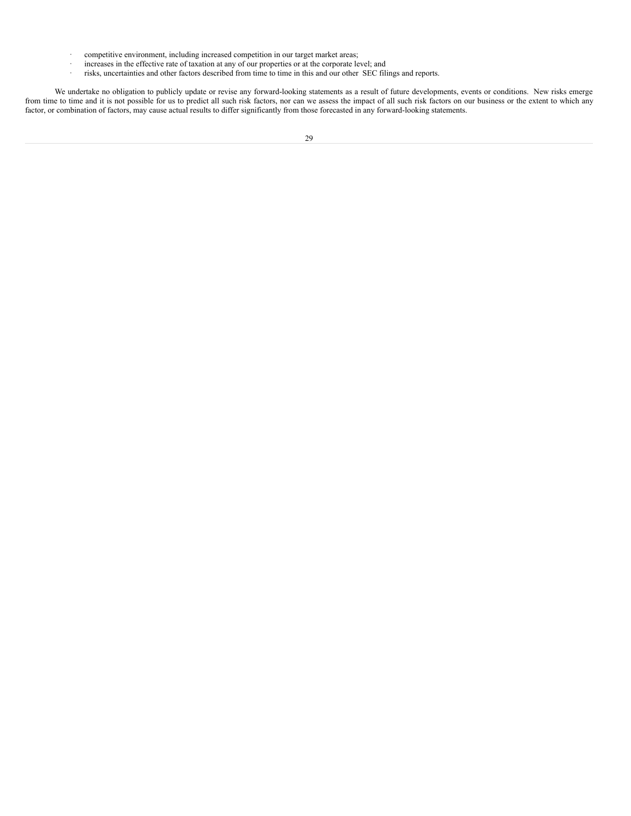- · competitive environment, including increased competition in our target market areas;
- increases in the effective rate of taxation at any of our properties or at the corporate level; and<br>risks uncertainties and other fectors described from time to time in this and our other. SEC fil
- risks, uncertainties and other factors described from time to time in this and our other SEC filings and reports.

We undertake no obligation to publicly update or revise any forward-looking statements as a result of future developments, events or conditions. New risks emerge from time to time and it is not possible for us to predict all such risk factors, nor can we assess the impact of all such risk factors on our business or the extent to which any factor, or combination of factors, may cause actual results to differ significantly from those forecasted in any forward-looking statements.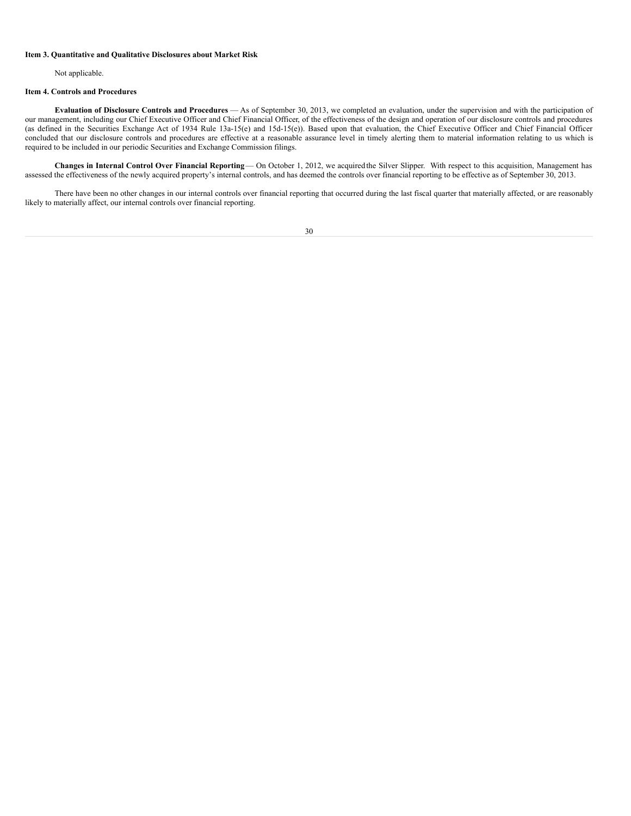## **Item 3. Quantitative and Qualitative Disclosures about Market Risk**

Not applicable.

## **Item 4. Controls and Procedures**

**Evaluation of Disclosure Controls and Procedures** — As of September 30, 2013, we completed an evaluation, under the supervision and with the participation of our management, including our Chief Executive Officer and Chief Financial Officer, of the effectiveness of the design and operation of our disclosure controls and procedures (as defined in the Securities Exchange Act of 1934 Rule 13a-15(e) and 15d-15(e)). Based upon that evaluation, the Chief Executive Officer and Chief Financial Officer concluded that our disclosure controls and procedures are effective at a reasonable assurance level in timely alerting them to material information relating to us which is required to be included in our periodic Securities and Exchange Commission filings.

**Changes in Internal Control Over Financial Reporting**— On October 1, 2012, we acquired the Silver Slipper. With respect to this acquisition, Management has assessed the effectiveness of the newly acquired property's internal controls, and has deemed the controls over financial reporting to be effective as of September 30, 2013.

There have been no other changes in our internal controls over financial reporting that occurred during the last fiscal quarter that materially affected, or are reasonably likely to materially affect, our internal controls over financial reporting.

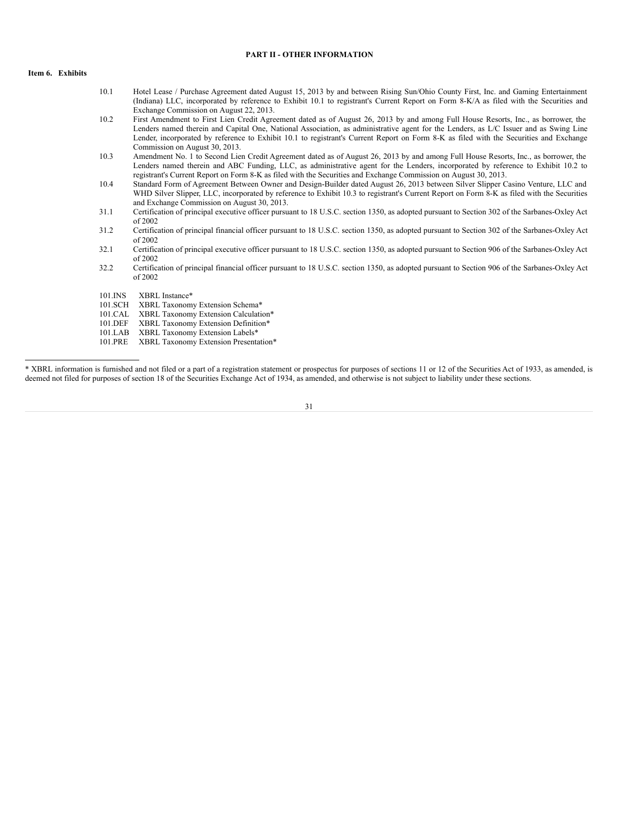## **PART II - OTHER INFORMATION**

### **Item 6. Exhibits**

- 10.1 Hotel Lease / Purchase Agreement dated August 15, 2013 by and between Rising Sun/Ohio County First, Inc. and Gaming Entertainment (Indiana) LLC, incorporated by reference to Exhibit 10.1 to registrant's Current Report on Form 8-K/A as filed with the Securities and Exchange Commission on August 22, 2013.
- 10.2 First Amendment to First Lien Credit Agreement dated as of August 26, 2013 by and among Full House Resorts, Inc., as borrower, the Lenders named therein and Capital One, National Association, as administrative agent for the Lenders, as L/C Issuer and as Swing Line Lender, incorporated by reference to Exhibit 10.1 to registrant's Current Report on Form 8-K as filed with the Securities and Exchange Commission on August 30, 2013.
- 10.3 Amendment No. 1 to Second Lien Credit Agreement dated as of August 26, 2013 by and among Full House Resorts, Inc., as borrower, the Lenders named therein and ABC Funding, LLC, as administrative agent for the Lenders, incorporated by reference to Exhibit 10.2 to registrant's Current Report on Form 8-K as filed with the Securities and Exchange Commission on August 30, 2013.
- 10.4 Standard Form of Agreement Between Owner and Design-Builder dated August 26, 2013 between Silver Slipper Casino Venture, LLC and WHD Silver Slipper, LLC, incorporated by reference to Exhibit 10.3 to registrant's Current Report on Form 8-K as filed with the Securities and Exchange Commission on August 30, 2013.
- 31.1 Certification of principal executive officer pursuant to 18 U.S.C. section 1350, as adopted pursuant to Section 302 of the Sarbanes-Oxley Act of 2002
- 31.2 Certification of principal financial officer pursuant to 18 U.S.C. section 1350, as adopted pursuant to Section 302 of the Sarbanes-Oxley Act of 2002
- 32.1 Certification of principal executive officer pursuant to 18 U.S.C. section 1350, as adopted pursuant to Section 906 of the Sarbanes-Oxley Act of 2002
- 32.2 Certification of principal financial officer pursuant to 18 U.S.C. section 1350, as adopted pursuant to Section 906 of the Sarbanes-Oxley Act of 2002
- 101.INS XBRL Instance\*<br>101.SCH XBRL Taxonom
- XBRL Taxonomy Extension Schema\*
- 101.CAL XBRL Taxonomy Extension Calculation\*<br>101.DEF XBRL Taxonomy Extension Definition\*
- XBRL Taxonomy Extension Definition\*
- 101.LAB XBRL Taxonomy Extension Labels\*
- 101.PRE XBRL Taxonomy Extension Presentation\*

\* XBRL information is furnished and not filed or a part of a registration statement or prospectus for purposes of sections 11 or 12 of the Securities Act of 1933, as amended, is deemed not filed for purposes of section 18 of the Securities Exchange Act of 1934, as amended, and otherwise is not subject to liability under these sections.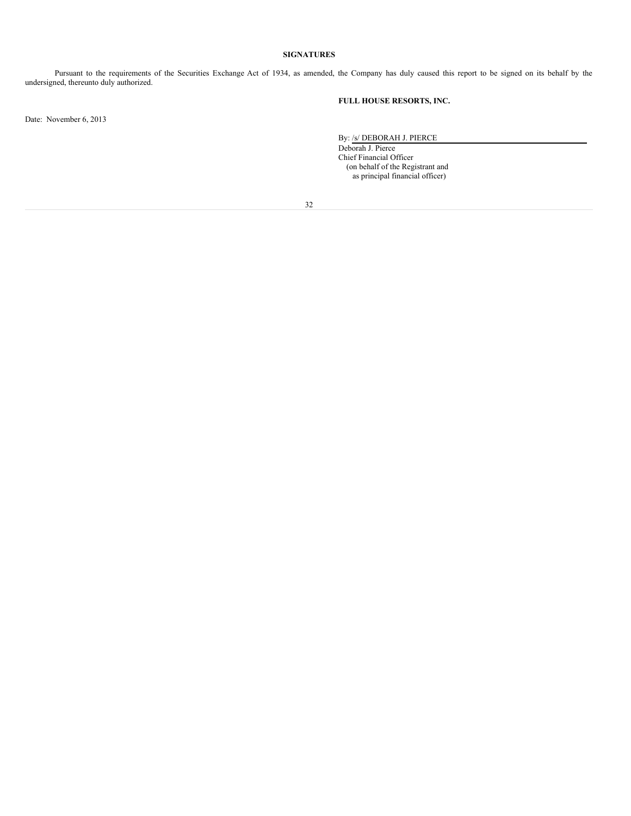## **SIGNATURES**

Pursuant to the requirements of the Securities Exchange Act of 1934, as amended, the Company has duly caused this report to be signed on its behalf by the undersigned, thereunto duly authorized.

**FULL HOUSE RESORTS, INC.**

Date: November 6, 2013

By: /s/ DEBORAH J. PIERCE

Deborah J. Pierce Chief Financial Officer (on behalf of the Registrant and as principal financial officer)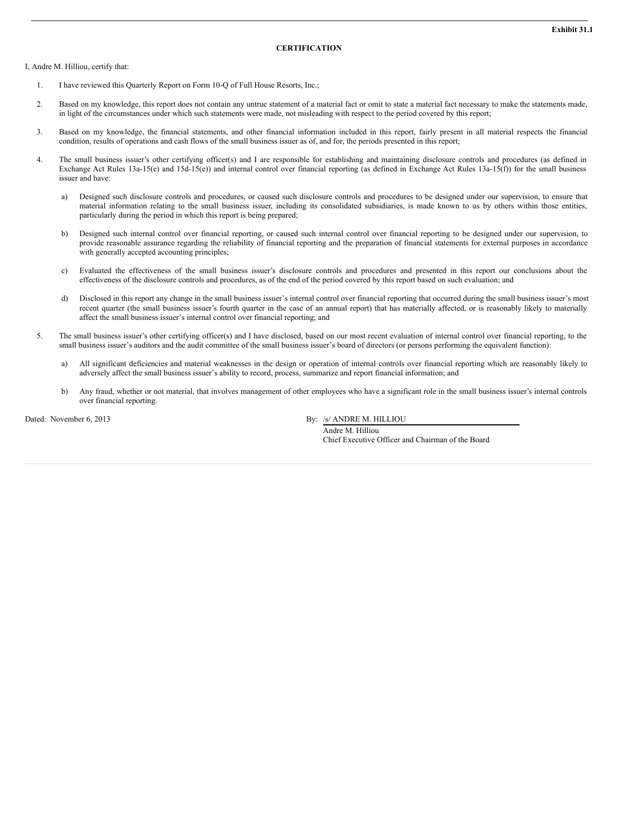#### **CERTIFICATION**

I, Andre M. Hilliou, certify that:

- 1. I have reviewed this Quarterly Report on Form 10-Q of Full House Resorts, Inc.;
- 2. Based on my knowledge, this report does not contain any untrue statement of a material fact or omit to state a material fact necessary to make the statements made, in light of the circumstances under which such statements were made, not misleading with respect to the period covered by this report;
- 3. Based on my knowledge, the financial statements, and other financial information included in this report, fairly present in all material respects the financial condition, results of operations and cash flows of the small business issuer as of, and for, the periods presented in this report;
- 4. The small business issuer's other certifying officer(s) and I are responsible for establishing and maintaining disclosure controls and procedures (as defined in Exchange Act Rules 13a-15(e) and 15d-15(e)) and internal control over financial reporting (as defined in Exchange Act Rules 13a-15(f)) for the small business issuer and have:
	- a) Designed such disclosure controls and procedures, or caused such disclosure controls and procedures to be designed under our supervision, to ensure that material information relating to the small business issuer, including its consolidated subsidiaries, is made known to us by others within those entities, particularly during the period in which this report is being prepared;
	- b) Designed such internal control over financial reporting, or caused such internal control over financial reporting to be designed under our supervision, to provide reasonable assurance regarding the reliability of financial reporting and the preparation of financial statements for external purposes in accordance with generally accepted accounting principles;
	- c) Evaluated the effectiveness of the small business issuer's disclosure controls and procedures and presented in this report our conclusions about the effectiveness of the disclosure controls and procedures, as of the end of the period covered by this report based on such evaluation; and
	- d) Disclosed in this report any change in the small business issuer's internal control over financial reporting that occurred during the small business issuer's most recent quarter (the small business issuer's fourth quarter in the case of an annual report) that has materially affected, or is reasonably likely to materially affect the small business issuer's internal control over financial reporting; and
- 5. The small business issuer's other certifying officer(s) and I have disclosed, based on our most recent evaluation of internal control over financial reporting, to the small business issuer's auditors and the audit committee of the small business issuer's board of directors (or persons performing the equivalent function):
	- a) All significant deficiencies and material weaknesses in the design or operation of internal controls over financial reporting which are reasonably likely to adversely affect the small business issuer's ability to record, process, summarize and report financial information; and
	- b) Any fraud, whether or not material, that involves management of other employees who have a significant role in the small business issuer's internal controls over financial reporting.

Dated: November 6, 2013 **By:** /s/ ANDRE M. HILLIOU

Andre M. Hilliou Chief Executive Officer and Chairman of the Board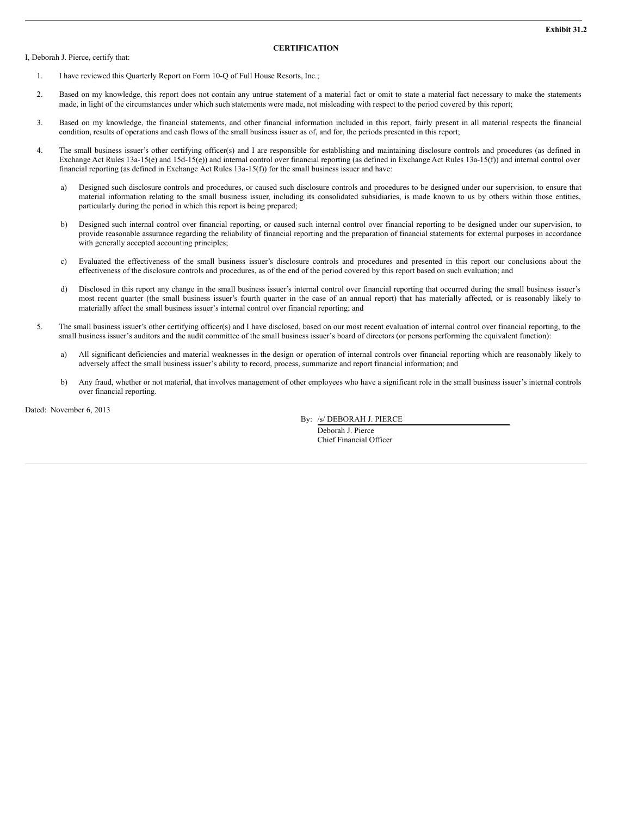#### **CERTIFICATION**

I, Deborah J. Pierce, certify that:

- 1. I have reviewed this Quarterly Report on Form 10-Q of Full House Resorts, Inc.;
- 2. Based on my knowledge, this report does not contain any untrue statement of a material fact or omit to state a material fact necessary to make the statements made, in light of the circumstances under which such statements were made, not misleading with respect to the period covered by this report;
- 3. Based on my knowledge, the financial statements, and other financial information included in this report, fairly present in all material respects the financial condition, results of operations and cash flows of the small business issuer as of, and for, the periods presented in this report;
- 4. The small business issuer's other certifying officer(s) and I are responsible for establishing and maintaining disclosure controls and procedures (as defined in Exchange Act Rules 13a-15(e) and 15d-15(e)) and internal control over financial reporting (as defined in Exchange Act Rules 13a-15(f)) and internal control over financial reporting (as defined in Exchange Act Rules 13a-15(f)) for the small business issuer and have:
	- a) Designed such disclosure controls and procedures, or caused such disclosure controls and procedures to be designed under our supervision, to ensure that material information relating to the small business issuer, including its consolidated subsidiaries, is made known to us by others within those entities, particularly during the period in which this report is being prepared;
	- b) Designed such internal control over financial reporting, or caused such internal control over financial reporting to be designed under our supervision, to provide reasonable assurance regarding the reliability of financial reporting and the preparation of financial statements for external purposes in accordance with generally accepted accounting principles;
	- c) Evaluated the effectiveness of the small business issuer's disclosure controls and procedures and presented in this report our conclusions about the effectiveness of the disclosure controls and procedures, as of the end of the period covered by this report based on such evaluation; and
	- d) Disclosed in this report any change in the small business issuer's internal control over financial reporting that occurred during the small business issuer's most recent quarter (the small business issuer's fourth quarter in the case of an annual report) that has materially affected, or is reasonably likely to materially affect the small business issuer's internal control over financial reporting; and
- 5. The small business issuer's other certifying officer(s) and I have disclosed, based on our most recent evaluation of internal control over financial reporting, to the small business issuer's auditors and the audit committee of the small business issuer's board of directors (or persons performing the equivalent function):
	- a) All significant deficiencies and material weaknesses in the design or operation of internal controls over financial reporting which are reasonably likely to adversely affect the small business issuer's ability to record, process, summarize and report financial information; and
	- b) Any fraud, whether or not material, that involves management of other employees who have a significant role in the small business issuer's internal controls over financial reporting.

Dated: November 6, 2013

By: /s/ DEBORAH J. PIERCE

Deborah J. Pierce Chief Financial Officer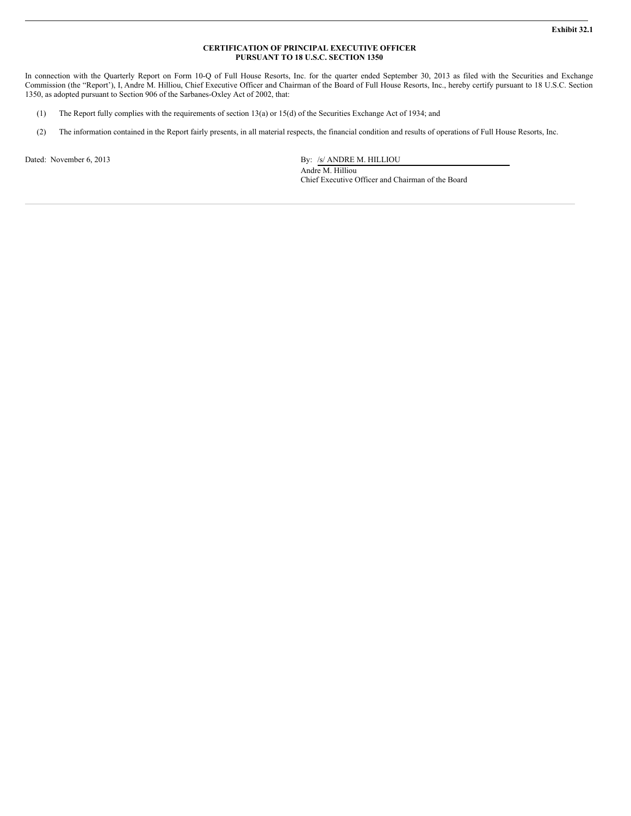## **CERTIFICATION OF PRINCIPAL EXECUTIVE OFFICER PURSUANT TO 18 U.S.C. SECTION 1350**

In connection with the Quarterly Report on Form 10-Q of Full House Resorts, Inc. for the quarter ended September 30, 2013 as filed with the Securities and Exchange Commission (the "Report'), I, Andre M. Hilliou, Chief Executive Officer and Chairman of the Board of Full House Resorts, Inc., hereby certify pursuant to 18 U.S.C. Section 1350, as adopted pursuant to Section 906 of the Sarbanes-Oxley Act of 2002, that:

- (1) The Report fully complies with the requirements of section 13(a) or 15(d) of the Securities Exchange Act of 1934; and
- (2) The information contained in the Report fairly presents, in all material respects, the financial condition and results of operations of Full House Resorts, Inc.

Dated: November 6, 2013 By: /s/ ANDRE M. HILLIOU

Andre M. Hilliou Chief Executive Officer and Chairman of the Board